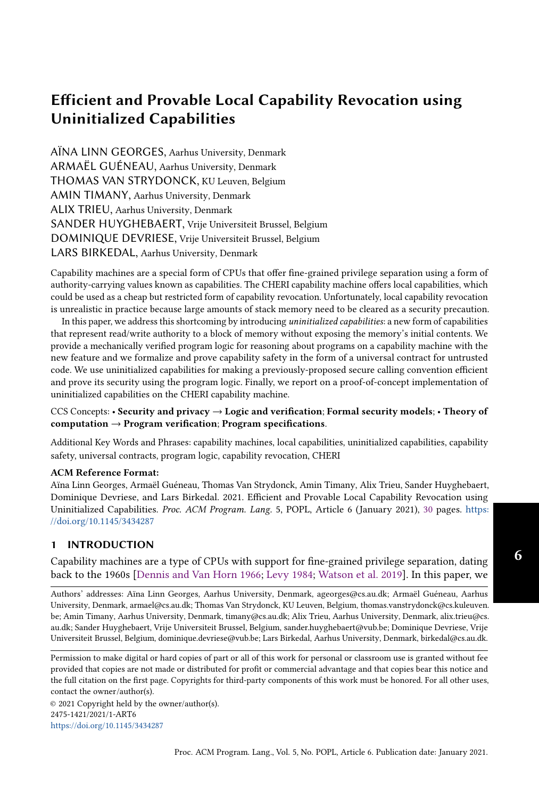AÏNA LINN GEORGES, Aarhus University, Denmark ARMAËL GUÉNEAU, Aarhus University, Denmark THOMAS VAN STRYDONCK, KU Leuven, Belgium AMIN TIMANY, Aarhus University, Denmark ALIX TRIEU, Aarhus University, Denmark SANDER HUYGHEBAERT, Vrije Universiteit Brussel, Belgium DOMINIQUE DEVRIESE, Vrije Universiteit Brussel, Belgium LARS BIRKEDAL, Aarhus University, Denmark

Capability machines are a special form of CPUs that offer fine-grained privilege separation using a form of authority-carrying values known as capabilities. The CHERI capability machine offers local capabilities, which could be used as a cheap but restricted form of capability revocation. Unfortunately, local capability revocation is unrealistic in practice because large amounts of stack memory need to be cleared as a security precaution.

In this paper, we address this shortcoming by introducing uninitialized capabilities: a new form of capabilities that represent read/write authority to a block of memory without exposing the memory's initial contents. We provide a mechanically verified program logic for reasoning about programs on a capability machine with the new feature and we formalize and prove capability safety in the form of a universal contract for untrusted code. We use uninitialized capabilities for making a previously-proposed secure calling convention efficient and prove its security using the program logic. Finally, we report on a proof-of-concept implementation of uninitialized capabilities on the CHERI capability machine.

# CCS Concepts: • Security and privacy → Logic and verification; Formal security models; • Theory of  $computation \rightarrow Program verification; Program specification.$

Additional Key Words and Phrases: capability machines, local capabilities, uninitialized capabilities, capability safety, universal contracts, program logic, capability revocation, CHERI

#### ACM Reference Format:

Aïna Linn Georges, Armaël Guéneau, Thomas Van Strydonck, Amin Timany, Alix Trieu, Sander Huyghebaert, Dominique Devriese, and Lars Birkedal. 2021. Efficient and Provable Local Capability Revocation using Uninitialized Capabilities. Proc. ACM Program. Lang. 5, POPL, Article 6 (January 2021), [30](#page-29-0) pages. [https:](https://doi.org/10.1145/3434287) [//doi.org/10.1145/3434287](https://doi.org/10.1145/3434287)

# 1 INTRODUCTION

Capability machines are a type of CPUs with support for fine-grained privilege separation, dating back to the 1960s [\[Dennis and Van Horn](#page-27-0) [1966;](#page-27-0) [Levy](#page-28-0) [1984;](#page-28-0) [Watson et al.](#page-28-1) [2019\]](#page-28-1). In this paper, we

Authors' addresses: Aïna Linn Georges, Aarhus University, Denmark, ageorges@cs.au.dk; Armaël Guéneau, Aarhus University, Denmark, armael@cs.au.dk; Thomas Van Strydonck, KU Leuven, Belgium, thomas.vanstrydonck@cs.kuleuven. be; Amin Timany, Aarhus University, Denmark, timany@cs.au.dk; Alix Trieu, Aarhus University, Denmark, alix.trieu@cs. au.dk; Sander Huyghebaert, Vrije Universiteit Brussel, Belgium, sander.huyghebaert@vub.be; Dominique Devriese, Vrije Universiteit Brussel, Belgium, dominique.devriese@vub.be; Lars Birkedal, Aarhus University, Denmark, birkedal@cs.au.dk.

Permission to make digital or hard copies of part or all of this work for personal or classroom use is granted without fee provided that copies are not made or distributed for profit or commercial advantage and that copies bear this notice and the full citation on the first page. Copyrights for third-party components of this work must be honored. For all other uses, contact the owner/author(s).

© 2021 Copyright held by the owner/author(s). 2475-1421/2021/1-ART6 <https://doi.org/10.1145/3434287>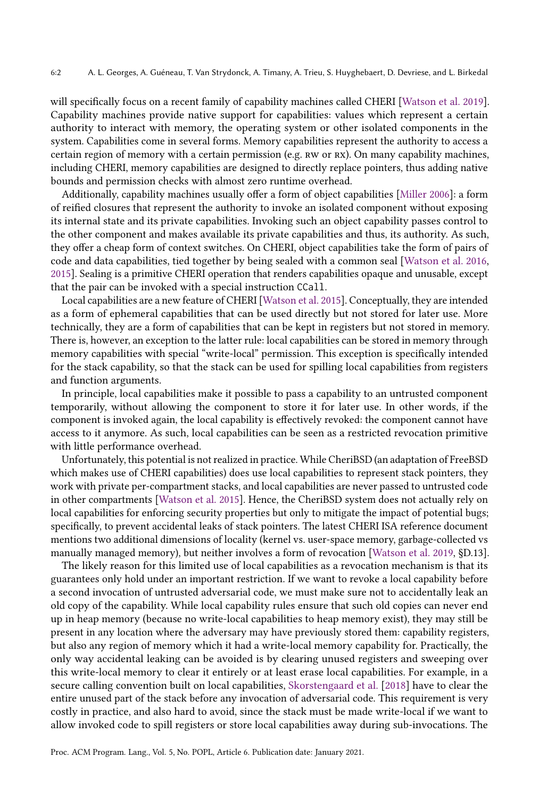will specifically focus on a recent family of capability machines called CHERI [\[Watson et al.](#page-28-1) [2019\]](#page-28-1). Capability machines provide native support for capabilities: values which represent a certain authority to interact with memory, the operating system or other isolated components in the system. Capabilities come in several forms. Memory capabilities represent the authority to access a certain region of memory with a certain permission (e.g. rw or rx). On many capability machines, including CHERI, memory capabilities are designed to directly replace pointers, thus adding native bounds and permission checks with almost zero runtime overhead.

Additionally, capability machines usually offer a form of object capabilities [\[Miller](#page-28-2) [2006\]](#page-28-2): a form of reified closures that represent the authority to invoke an isolated component without exposing its internal state and its private capabilities. Invoking such an object capability passes control to the other component and makes available its private capabilities and thus, its authority. As such, they offer a cheap form of context switches. On CHERI, object capabilities take the form of pairs of code and data capabilities, tied together by being sealed with a common seal [\[Watson et al.](#page-28-3) [2016,](#page-28-3) [2015\]](#page-28-4). Sealing is a primitive CHERI operation that renders capabilities opaque and unusable, except that the pair can be invoked with a special instruction CCall.

Local capabilities are a new feature of CHERI [\[Watson et al.](#page-28-4) [2015\]](#page-28-4). Conceptually, they are intended as a form of ephemeral capabilities that can be used directly but not stored for later use. More technically, they are a form of capabilities that can be kept in registers but not stored in memory. There is, however, an exception to the latter rule: local capabilities can be stored in memory through memory capabilities with special "write-local" permission. This exception is specifically intended for the stack capability, so that the stack can be used for spilling local capabilities from registers and function arguments.

In principle, local capabilities make it possible to pass a capability to an untrusted component temporarily, without allowing the component to store it for later use. In other words, if the component is invoked again, the local capability is effectively revoked: the component cannot have access to it anymore. As such, local capabilities can be seen as a restricted revocation primitive with little performance overhead.

Unfortunately, this potential is not realized in practice. While CheriBSD (an adaptation of FreeBSD which makes use of CHERI capabilities) does use local capabilities to represent stack pointers, they work with private per-compartment stacks, and local capabilities are never passed to untrusted code in other compartments [\[Watson et al.](#page-28-4) [2015\]](#page-28-4). Hence, the CheriBSD system does not actually rely on local capabilities for enforcing security properties but only to mitigate the impact of potential bugs; specifically, to prevent accidental leaks of stack pointers. The latest CHERI ISA reference document mentions two additional dimensions of locality (kernel vs. user-space memory, garbage-collected vs manually managed memory), but neither involves a form of revocation [\[Watson et al.](#page-28-1) [2019,](#page-28-1) §D.13].

The likely reason for this limited use of local capabilities as a revocation mechanism is that its guarantees only hold under an important restriction. If we want to revoke a local capability before a second invocation of untrusted adversarial code, we must make sure not to accidentally leak an old copy of the capability. While local capability rules ensure that such old copies can never end up in heap memory (because no write-local capabilities to heap memory exist), they may still be present in any location where the adversary may have previously stored them: capability registers, but also any region of memory which it had a write-local memory capability for. Practically, the only way accidental leaking can be avoided is by clearing unused registers and sweeping over this write-local memory to clear it entirely or at least erase local capabilities. For example, in a secure calling convention built on local capabilities, [Skorstengaard et al.](#page-28-5) [\[2018\]](#page-28-5) have to clear the entire unused part of the stack before any invocation of adversarial code. This requirement is very costly in practice, and also hard to avoid, since the stack must be made write-local if we want to allow invoked code to spill registers or store local capabilities away during sub-invocations. The

Proc. ACM Program. Lang., Vol. 5, No. POPL, Article 6. Publication date: January 2021.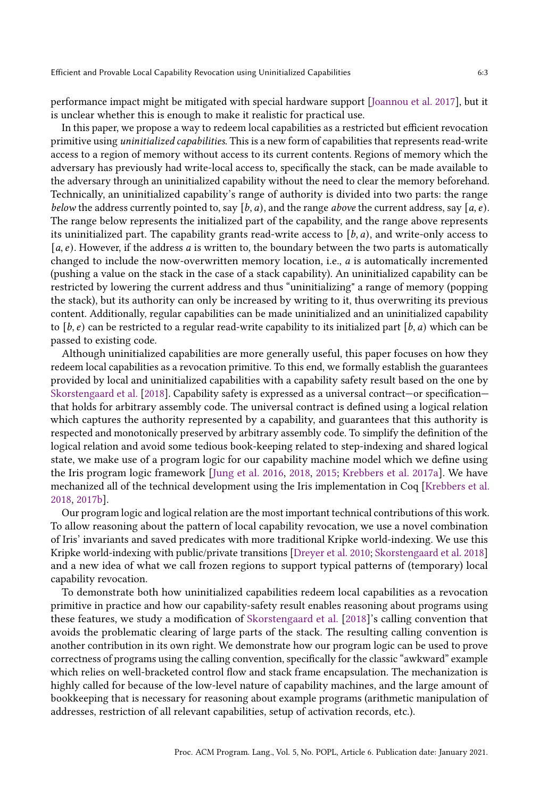performance impact might be mitigated with special hardware support [\[Joannou et al.](#page-27-1) [2017\]](#page-27-1), but it is unclear whether this is enough to make it realistic for practical use.

In this paper, we propose a way to redeem local capabilities as a restricted but efficient revocation primitive using uninitialized capabilities. This is a new form of capabilities that represents read-write access to a region of memory without access to its current contents. Regions of memory which the adversary has previously had write-local access to, specifically the stack, can be made available to the adversary through an uninitialized capability without the need to clear the memory beforehand. Technically, an uninitialized capability's range of authority is divided into two parts: the range below the address currently pointed to, say  $[b, a)$ , and the range above the current address, say  $[a, e)$ . The range below represents the initialized part of the capability, and the range above represents its uninitialized part. The capability grants read-write access to  $[b, a)$ , and write-only access to  $[a, e]$ . However, if the address a is written to, the boundary between the two parts is automatically changed to include the now-overwritten memory location, i.e.,  $a$  is automatically incremented (pushing a value on the stack in the case of a stack capability). An uninitialized capability can be restricted by lowering the current address and thus "uninitializing" a range of memory (popping the stack), but its authority can only be increased by writing to it, thus overwriting its previous content. Additionally, regular capabilities can be made uninitialized and an uninitialized capability to  $[b, e]$  can be restricted to a regular read-write capability to its initialized part  $[b, a)$  which can be passed to existing code.

Although uninitialized capabilities are more generally useful, this paper focuses on how they redeem local capabilities as a revocation primitive. To this end, we formally establish the guarantees provided by local and uninitialized capabilities with a capability safety result based on the one by [Skorstengaard et al.](#page-28-5) [\[2018\]](#page-28-5). Capability safety is expressed as a universal contract—or specification that holds for arbitrary assembly code. The universal contract is defined using a logical relation which captures the authority represented by a capability, and guarantees that this authority is respected and monotonically preserved by arbitrary assembly code. To simplify the definition of the logical relation and avoid some tedious book-keeping related to step-indexing and shared logical state, we make use of a program logic for our capability machine model which we define using the Iris program logic framework [\[Jung et al.](#page-27-2) [2016,](#page-27-2) [2018,](#page-27-3) [2015;](#page-27-4) [Krebbers et al.](#page-28-6) [2017a\]](#page-28-6). We have mechanized all of the technical development using the Iris implementation in Coq [\[Krebbers et al.](#page-27-5) [2018,](#page-27-5) [2017b\]](#page-28-7).

Our program logic and logical relation are the most important technical contributions of this work. To allow reasoning about the pattern of local capability revocation, we use a novel combination of Iris' invariants and saved predicates with more traditional Kripke world-indexing. We use this Kripke world-indexing with public/private transitions [\[Dreyer et al.](#page-27-6) [2010;](#page-27-6) [Skorstengaard et al.](#page-28-5) [2018\]](#page-28-5) and a new idea of what we call frozen regions to support typical patterns of (temporary) local capability revocation.

To demonstrate both how uninitialized capabilities redeem local capabilities as a revocation primitive in practice and how our capability-safety result enables reasoning about programs using these features, we study a modification of [Skorstengaard et al.](#page-28-5) [\[2018\]](#page-28-5)'s calling convention that avoids the problematic clearing of large parts of the stack. The resulting calling convention is another contribution in its own right. We demonstrate how our program logic can be used to prove correctness of programs using the calling convention, specifically for the classic "awkward" example which relies on well-bracketed control flow and stack frame encapsulation. The mechanization is highly called for because of the low-level nature of capability machines, and the large amount of bookkeeping that is necessary for reasoning about example programs (arithmetic manipulation of addresses, restriction of all relevant capabilities, setup of activation records, etc.).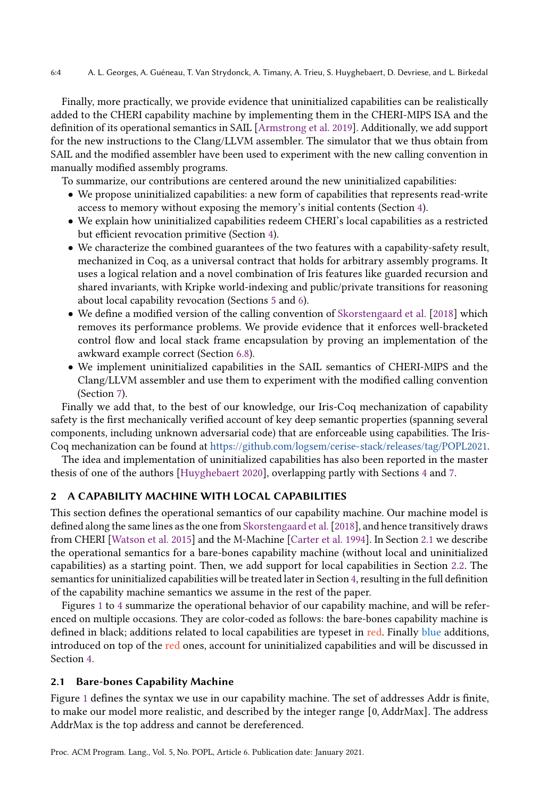Finally, more practically, we provide evidence that uninitialized capabilities can be realistically added to the CHERI capability machine by implementing them in the CHERI-MIPS ISA and the definition of its operational semantics in SAIL [\[Armstrong et al.](#page-26-0) [2019\]](#page-26-0). Additionally, we add support for the new instructions to the Clang/LLVM assembler. The simulator that we thus obtain from SAIL and the modified assembler have been used to experiment with the new calling convention in manually modified assembly programs.

To summarize, our contributions are centered around the new uninitialized capabilities:

- We propose uninitialized capabilities: a new form of capabilities that represents read-write access to memory without exposing the memory's initial contents (Section [4\)](#page-9-0).
- We explain how uninitialized capabilities redeem CHERI's local capabilities as a restricted but efficient revocation primitive (Section [4\)](#page-9-0).
- We characterize the combined guarantees of the two features with a capability-safety result, mechanized in Coq, as a universal contract that holds for arbitrary assembly programs. It uses a logical relation and a novel combination of Iris features like guarded recursion and shared invariants, with Kripke world-indexing and public/private transitions for reasoning about local capability revocation (Sections [5](#page-11-0) and [6\)](#page-14-0).
- We define a modified version of the calling convention of [Skorstengaard et al.](#page-28-5) [\[2018\]](#page-28-5) which removes its performance problems. We provide evidence that it enforces well-bracketed control flow and local stack frame encapsulation by proving an implementation of the awkward example correct (Section [6.8\)](#page-22-0).
- We implement uninitialized capabilities in the SAIL semantics of CHERI-MIPS and the Clang/LLVM assembler and use them to experiment with the modified calling convention (Section [7\)](#page-24-0).

Finally we add that, to the best of our knowledge, our Iris-Coq mechanization of capability safety is the first mechanically verified account of key deep semantic properties (spanning several components, including unknown adversarial code) that are enforceable using capabilities. The Iris-Coq mechanization can be found at [https://github.com/logsem/cerise-stack/releases/tag/POPL2021.](https://github.com/logsem/cerise-stack/releases/tag/POPL2021)

The idea and implementation of uninitialized capabilities has also been reported in the master thesis of one of the authors [\[Huyghebaert](#page-27-7) [2020\]](#page-27-7), overlapping partly with Sections [4](#page-9-0) and [7.](#page-24-0)

# 2 A CAPABILITY MACHINE WITH LOCAL CAPABILITIES

This section defines the operational semantics of our capability machine. Our machine model is defined along the same lines as the one from [Skorstengaard et al.\[2018\]](#page-28-5), and hence transitively draws from CHERI [\[Watson et al.](#page-28-4) [2015\]](#page-28-4) and the M-Machine [\[Carter et al.](#page-27-8) [1994\]](#page-27-8). In Section [2.1](#page-3-0) we describe the operational semantics for a bare-bones capability machine (without local and uninitialized capabilities) as a starting point. Then, we add support for local capabilities in Section [2.2.](#page-6-0) The semantics for uninitialized capabilities will be treated later in Section [4,](#page-9-0) resulting in the full definition of the capability machine semantics we assume in the rest of the paper.

Figures [1](#page-4-0) to [4](#page-6-1) summarize the operational behavior of our capability machine, and will be referenced on multiple occasions. They are color-coded as follows: the bare-bones capability machine is defined in black; additions related to local capabilities are typeset in red. Finally blue additions, introduced on top of the red ones, account for uninitialized capabilities and will be discussed in Section [4.](#page-9-0)

### <span id="page-3-0"></span>2.1 Bare-bones Capability Machine

Figure [1](#page-4-0) defines the syntax we use in our capability machine. The set of addresses Addr is finite, to make our model more realistic, and described by the integer range [0, AddrMax]. The address AddrMax is the top address and cannot be dereferenced.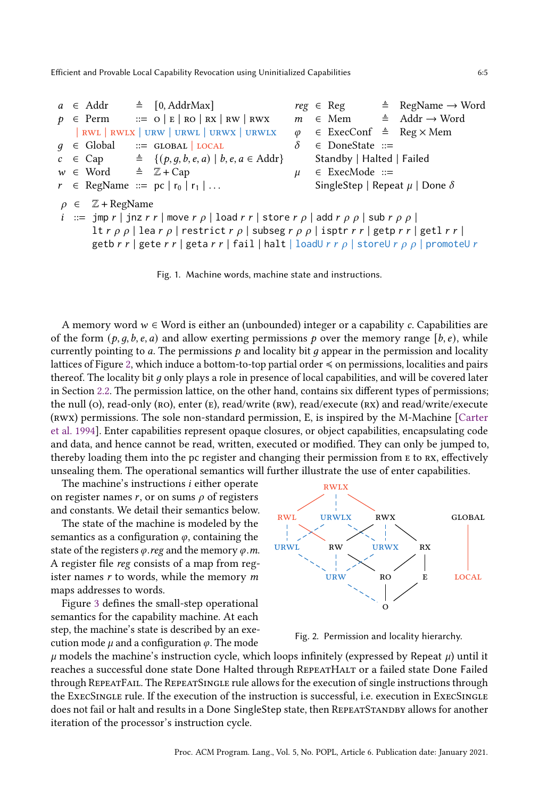<span id="page-4-0"></span> $a \in \text{Addr} \quad \triangleq \quad [0, \text{AddrMax}]$  $p \in \text{Perm}$  ::=  $Q \mid E \mid RO \mid RX \mid RW \mid RWX$ | rwl | rwlx | urw | urwl | urwx | urwlx  $q \in \text{Global}$  ::= GLOBAL | LOCAL  $c \in \text{Cap} \qquad \triangleq \{ (p, q, b, e, a) \mid b, e, a \in \text{Addr} \}$  $w \in Word \cong \mathbb{Z} + Cap$  $r \in \text{RegName} ::= pc | r_0 | r_1 | \dots$  $reg \in Reg \cong RegName \rightarrow Word$  $m \in \text{Mem}$   $\stackrel{\text{{\tiny \textsf{d}}}}{=}$  Addr → Word  $\varphi$  ∈ ExecConf ≜ Reg × Mem  $δ ∈ DoneState ::=$ Standby | Halted | Failed  $\mu$  ∈ ExecMode ::= SingleStep | Repeat  $\mu$  | Done  $\delta$  $\rho \in \mathbb{Z}$  + RegName  $i ::= \text{imp } r | \text{jnz } r r | \text{move } r \rho | \text{load } r r | \text{store } r \rho | \text{add } r \rho \rho | \text{sub } r \rho \rho |$ lt  $r \rho \rho$  | lea  $r \rho$  | restrict  $r \rho$  | subseg  $r \rho \rho$  | isptr  $r r$  | getp  $r r$  | getl  $r r$  | getb  $r r |$  gete  $r r |$  geta  $r r |$  fail | halt | loadU  $r r \rho |$  storeU  $r \rho \rho |$  promoteU  $r$ 

Fig. 1. Machine words, machine state and instructions.

A memory word  $w \in$  Word is either an (unbounded) integer or a capability c. Capabilities are of the form  $(p, q, b, e, a)$  and allow exerting permissions p over the memory range [b, e), while currently pointing to a. The permissions  $p$  and locality bit  $q$  appear in the permission and locality lattices of Figure [2,](#page-4-1) which induce a bottom-to-top partial order ≼ on permissions, localities and pairs thereof. The locality bit  $q$  only plays a role in presence of local capabilities, and will be covered later in Section [2.2.](#page-6-0) The permission lattice, on the other hand, contains six different types of permissions; the null (o), read-only (ro), enter (e), read/write (rw), read/execute (rx) and read/write/execute (rwx) permissions. The sole non-standard permission, E, is inspired by the M-Machine [\[Carter](#page-27-8) [et al.](#page-27-8) [1994\]](#page-27-8). Enter capabilities represent opaque closures, or object capabilities, encapsulating code and data, and hence cannot be read, written, executed or modified. They can only be jumped to, thereby loading them into the pc register and changing their permission from e to rx, effectively unsealing them. The operational semantics will further illustrate the use of enter capabilities.

The machine's instructions  $i$  either operate on register names r, or on sums  $\rho$  of registers and constants. We detail their semantics below.

The state of the machine is modeled by the semantics as a configuration  $\varphi$ , containing the state of the registers  $\varphi$ .reg and the memory  $\varphi$ .m. A register file reg consists of a map from register names  $r$  to words, while the memory  $m$ maps addresses to words.

Figure [3](#page-5-0) defines the small-step operational semantics for the capability machine. At each step, the machine's state is described by an execution mode  $\mu$  and a configuration  $\varphi$ . The mode

<span id="page-4-1"></span>

Fig. 2. Permission and locality hierarchy.

 $\mu$  models the machine's instruction cycle, which loops infinitely (expressed by Repeat  $\mu$ ) until it reaches a successful done state Done Halted through RepeatHalt or a failed state Done Failed through RepeatFail. The RepeatSingle rule allows for the execution of single instructions through the ExecSingle rule. If the execution of the instruction is successful, i.e. execution in ExecSingle does not fail or halt and results in a Done SingleStep state, then REPEATSTANDBY allows for another iteration of the processor's instruction cycle.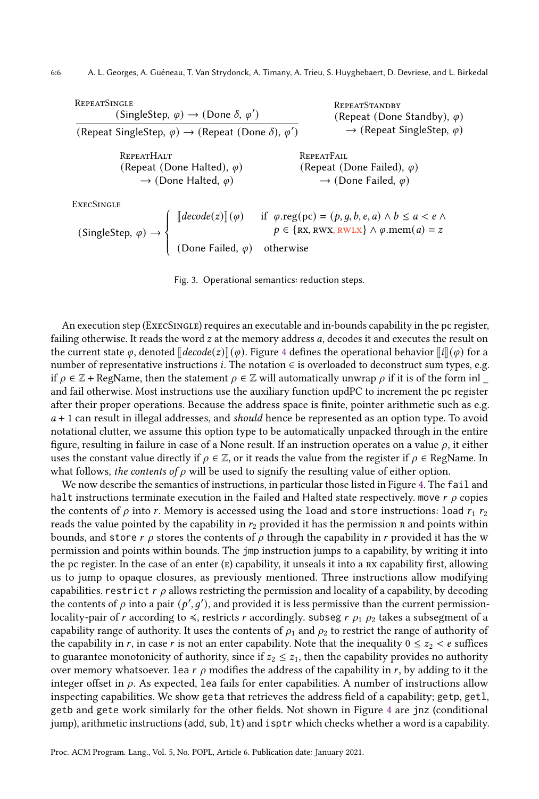<span id="page-5-0"></span>**REPEATSINGLE**  $(SingleStep, \varphi) \rightarrow (Done \delta, \varphi')$ (Repeat SingleStep,  $\varphi$ )  $\rightarrow$  (Repeat (Done  $\delta$ ),  $\varphi'$ ) REPEATSTANDBY (Repeat (Done Standby),  $\varphi$ )  $\rightarrow$  (Repeat SingleStep,  $\varphi$ ) **REPEATHALT** (Repeat (Done Halted),  $\varphi$ )  $\rightarrow$  (Done Halted,  $\varphi$ ) **REPEATFAIL** (Repeat (Done Failed),  $\varphi$ )  $\rightarrow$  (Done Failed,  $\varphi$ ) **EXECSINGLE** 

 $(SingleStep, \varphi) \rightarrow$  $\overline{\mathcal{L}}$  $\llbracket decode(z) \rrbracket(\varphi)$  if  $\varphi.\text{reg}(pc) = (p, g, b, e, a) \land b \le a < e \land$ <br> $p \in \{RX, RWX, RWX\} \land \varphi.\text{mem}(a) = z$ (Done Failed,  $\varphi$ ) otherwise

J

Fig. 3. Operational semantics: reduction steps.

An execution step (ExecSingle) requires an executable and in-bounds capability in the pc register, failing otherwise. It reads the word  $z$  at the memory address  $a$ , decodes it and executes the result on the current state  $\varphi$ , denoted  $\llbracket decode(z) \rrbracket(\varphi)$ . Figure [4](#page-6-1) defines the operational behavior  $\llbracket i \rrbracket(\varphi)$  for a number of representative instructions *i*. The notation ∈ is overloaded to deconstruct sum types, e.g. if  $\rho \in \mathbb{Z}$  + RegName, then the statement  $\rho \in \mathbb{Z}$  will automatically unwrap  $\rho$  if it is of the form inl and fail otherwise. Most instructions use the auxiliary function updPC to increment the pc register after their proper operations. Because the address space is finite, pointer arithmetic such as e.g.  $a + 1$  can result in illegal addresses, and should hence be represented as an option type. To avoid notational clutter, we assume this option type to be automatically unpacked through in the entire figure, resulting in failure in case of a None result. If an instruction operates on a value  $\rho$ , it either uses the constant value directly if  $\rho \in \mathbb{Z}$ , or it reads the value from the register if  $\rho \in \text{RegName}$ . In what follows, the contents of  $\rho$  will be used to signify the resulting value of either option.

We now describe the semantics of instructions, in particular those listed in Figure [4.](#page-6-1) The fail and halt instructions terminate execution in the Failed and Halted state respectively. move  $r \rho$  copies the contents of  $\rho$  into r. Memory is accessed using the load and store instructions: load  $r_1$   $r_2$ reads the value pointed by the capability in  $r_2$  provided it has the permission  $r_2$  and points within bounds, and store  $r \rho$  stores the contents of  $\rho$  through the capability in r provided it has the w permission and points within bounds. The jmp instruction jumps to a capability, by writing it into the pc register. In the case of an enter  $(E)$  capability, it unseals it into a RX capability first, allowing us to jump to opaque closures, as previously mentioned. Three instructions allow modifying capabilities. restrict  $r \rho$  allows restricting the permission and locality of a capability, by decoding the contents of  $\rho$  into a pair  $(p', g')$ , and provided it is less permissive than the current permissionlocality-pair of *r* according to  $\leq$ , restricts *r* accordingly. subseg *r*  $\rho_1$   $\rho_2$  takes a subsegment of a capability range of authority. It uses the contents of  $\rho_1$  and  $\rho_2$  to restrict the range of authority of the capability in r, in case r is not an enter capability. Note that the inequality  $0 \le z_2 < e$  suffices to guarantee monotonicity of authority, since if  $z_2 \leq z_1$ , then the capability provides no authority over memory whatsoever. Lea  $r \rho$  modifies the address of the capability in  $r$ , by adding to it the integer offset in  $\rho$ . As expected, lea fails for enter capabilities. A number of instructions allow inspecting capabilities. We show geta that retrieves the address field of a capability; getp, getl, getb and gete work similarly for the other fields. Not shown in Figure [4](#page-6-1) are jnz (conditional jump), arithmetic instructions (add, sub, lt) and isptr which checks whether a word is a capability.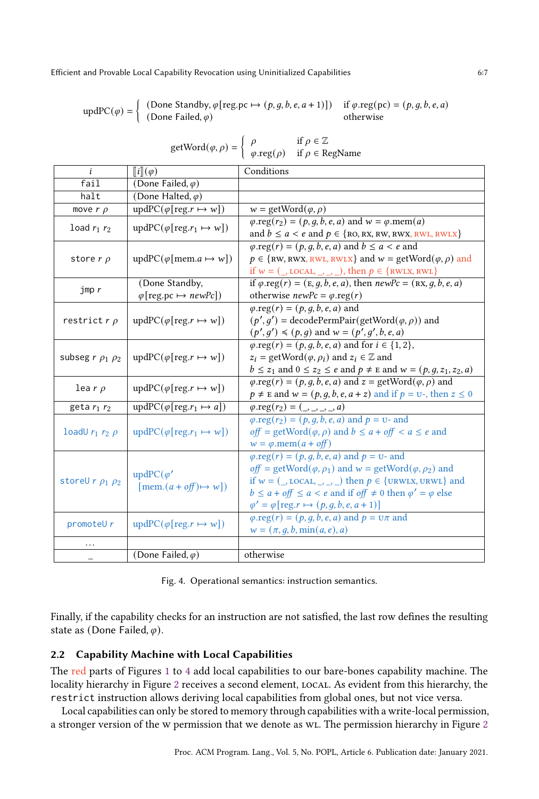<span id="page-6-1"></span>
$$
updPC(\varphi) = \begin{cases} (Done \, Standby, \varphi[reg.p c \mapsto (p, g, b, e, a + 1)]) & \text{if } \varphi \text{.reg}(pc) = (p, g, b, e, a) \\ (Done \, Failed, \varphi) & \text{otherwise} \end{cases}
$$

getWord $(\varphi, \rho) = \begin{cases} \rho & \text{if } \rho \in \mathbb{Z} \\ \rho & \text{if } \rho \in \mathbb{R} \end{cases}$ 

| $getW$ $(i\phi, \rho) = \int \phi \cdot \text{reg}(\rho)$ if $\rho \in \text{RegName}$ |                                                      |                                                                                                                                             |  |  |
|----------------------------------------------------------------------------------------|------------------------------------------------------|---------------------------------------------------------------------------------------------------------------------------------------------|--|--|
| i                                                                                      | $\llbracket i \rrbracket(\varphi)$                   | Conditions                                                                                                                                  |  |  |
| fail                                                                                   | (Done Failed, $\varphi$ )                            |                                                                                                                                             |  |  |
| halt                                                                                   | (Done Halted, $\varphi$ )                            |                                                                                                                                             |  |  |
| move $r \rho$                                                                          | $updPC(\varphi[reg.r \mapsto w])$                    | $w = getWord(\varphi, \rho)$                                                                                                                |  |  |
| load $r_1$ $r_2$                                                                       | $updPC(\varphi[reg.r_1 \mapsto w])$                  | $\varphi.\text{reg}(r_2) = (p, q, b, e, a)$ and $w = \varphi.\text{mem}(a)$<br>and $b \le a < e$ and $p \in \{RO, RX, RW, RWX, RWL, RWLX\}$ |  |  |
| store $r$ $\rho$                                                                       | $updPC(\varphi[mem.a \mapsto w])$                    | $\varphi.\text{reg}(r) = (p, g, b, e, a)$ and $b \le a < e$ and                                                                             |  |  |
|                                                                                        |                                                      | $p \in \{RW, RWX, RWL, RWLX\}$ and $w = getWord(\varphi, \rho)$ and                                                                         |  |  |
|                                                                                        |                                                      | if $w = (\_,$ LOCAL, $\_, \_, \_$ ), then $p \in \{$ RWLX, RWL $\}$                                                                         |  |  |
| $\mathop{\text{imp}} r$                                                                | (Done Standby,                                       | if $\varphi$ .reg(r) = (E, g, b, e, a), then $newPc = (RX, g, b, e, a)$                                                                     |  |  |
|                                                                                        | $\varphi$ [reg.pc $\mapsto$ newPc])                  | otherwise $newPc = \varphi \cdot reg(r)$                                                                                                    |  |  |
| restrict $r \rho$                                                                      |                                                      | $\varphi.\text{reg}(r) = (p, q, b, e, a)$ and                                                                                               |  |  |
|                                                                                        | $updPC(\varphi[reg.r \mapsto w])$                    | $(p', q')$ = decodePermPair(getWord( $(\varphi, \rho)$ ) and                                                                                |  |  |
|                                                                                        |                                                      | $(p', g') \leq (p, q)$ and $w = (p', g', b, e, a)$                                                                                          |  |  |
| subseg $r \rho_1 \rho_2$                                                               | $updPC(\varphi[reg.r \mapsto w])$                    | $\varphi.\text{reg}(r) = (p, q, b, e, a)$ and for $i \in \{1, 2\},$                                                                         |  |  |
|                                                                                        |                                                      | $z_i$ = getWord $(\varphi, \rho_i)$ and $z_i \in \mathbb{Z}$ and                                                                            |  |  |
|                                                                                        |                                                      | $b \leq z_1$ and $0 \leq z_2 \leq e$ and $p \neq E$ and $w = (p, g, z_1, z_2, a)$                                                           |  |  |
|                                                                                        | $updPC(\varphi[reg.r \mapsto w])$                    | $\varphi.\text{reg}(r) = (p, q, b, e, a)$ and $z = \text{getWord}(\varphi, \rho)$ and                                                       |  |  |
| lear $\rho$                                                                            |                                                      | $p \neq E$ and $w = (p, q, b, e, a + z)$ and if $p = U$ -, then $z \leq 0$                                                                  |  |  |
| geta $r_1$ $r_2$                                                                       | $updPC(\varphi[reg.r_1 \mapsto a])$                  | $\overline{\varphi.\text{reg}}(r_2) = (\underline{\ } , \underline{\ } , \underline{\ } , a)$                                               |  |  |
|                                                                                        | $updPC(\varphi[reg.r_1 \mapsto w])$                  | $\varphi.\text{reg}(r_2) = (p, g, b, e, a)$ and $p = u$ - and                                                                               |  |  |
| loadU $r_1$ $r_2$ $\rho$                                                               |                                                      | off = getWord $(\varphi, \rho)$ and $b \le a + \text{off} < a \le e$ and                                                                    |  |  |
|                                                                                        |                                                      | $w = \varphi$ .mem $(a + off)$                                                                                                              |  |  |
|                                                                                        | $updPC(\varphi')$<br>[mem. $(a + of f) \mapsto w$ ]) | $\varphi.\text{reg}(r) = (p, g, \overline{b, e, a})$ and $p = v$ - and                                                                      |  |  |
|                                                                                        |                                                      | off = getWord $(\varphi, \rho_1)$ and $w =$ getWord $(\varphi, \rho_2)$ and                                                                 |  |  |
| storeU $r$ $\rho_1$ $\rho_2$                                                           |                                                      | if $w = (\_,\text{local},\_,\_,\_)$ then $p \in \{\text{URWLX}, \text{URWL}\}\$ and                                                         |  |  |
|                                                                                        |                                                      | $b \le a + off \le a < e$ and if off $\ne 0$ then $\varphi' = \varphi$ else                                                                 |  |  |
|                                                                                        |                                                      | $\varphi' = \varphi[\text{reg.r} \mapsto (p, g, b, e, a + 1)]$                                                                              |  |  |
| promoteU $r$                                                                           | $\text{updPC}(\varphi[\text{reg}.r \mapsto w])$      | $\varphi.\text{reg}(r) = (p, q, b, e, a)$ and $p = \text{U}\pi$ and                                                                         |  |  |
|                                                                                        |                                                      | $w = (\pi, q, b, \min(a, e), a)$                                                                                                            |  |  |
| .                                                                                      |                                                      |                                                                                                                                             |  |  |
|                                                                                        | (Done Failed, $\varphi$ )                            | otherwise                                                                                                                                   |  |  |

Fig. 4. Operational semantics: instruction semantics.

Finally, if the capability checks for an instruction are not satisfied, the last row defines the resulting state as (Done Failed,  $\varphi$ ).

# <span id="page-6-0"></span>2.2 Capability Machine with Local Capabilities

The red parts of Figures [1](#page-4-0) to [4](#page-6-1) add local capabilities to our bare-bones capability machine. The locality hierarchy in Figure [2](#page-4-1) receives a second element, local. As evident from this hierarchy, the restrict instruction allows deriving local capabilities from global ones, but not vice versa.

Local capabilities can only be stored to memory through capabilities with a write-local permission, a stronger version of the w permission that we denote as wL. The permission hierarchy in Figure [2](#page-4-1)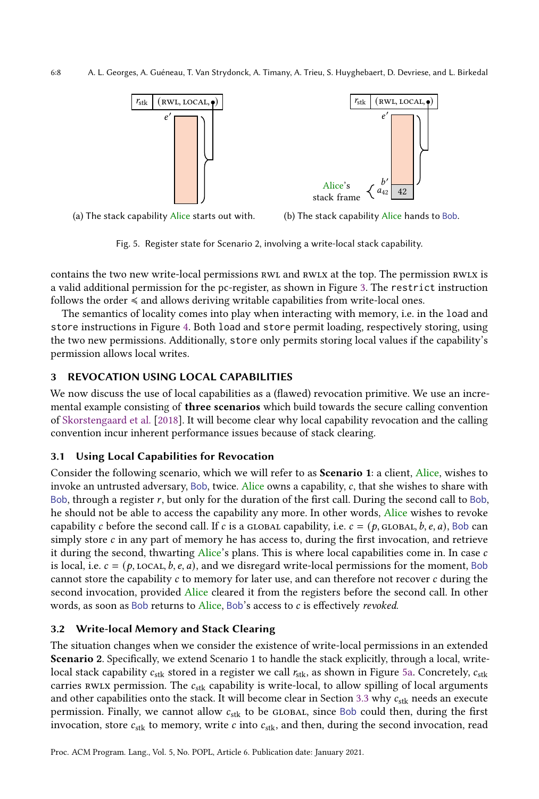<span id="page-7-0"></span>



(b) The stack capability Alice hands to Bob.

Fig. 5. Register state for Scenario 2, involving a write-local stack capability.

contains the two new write-local permissions RWL and RWLX at the top. The permission RWLX is a valid additional permission for the pc-register, as shown in Figure [3.](#page-5-0) The restrict instruction follows the order ≼ and allows deriving writable capabilities from write-local ones.

The semantics of locality comes into play when interacting with memory, i.e. in the load and store instructions in Figure [4.](#page-6-1) Both load and store permit loading, respectively storing, using the two new permissions. Additionally, store only permits storing local values if the capability's permission allows local writes.

# 3 REVOCATION USING LOCAL CAPABILITIES

We now discuss the use of local capabilities as a (flawed) revocation primitive. We use an incremental example consisting of **three scenarios** which build towards the secure calling convention of [Skorstengaard et al.](#page-28-5) [\[2018\]](#page-28-5). It will become clear why local capability revocation and the calling convention incur inherent performance issues because of stack clearing.

#### 3.1 Using Local Capabilities for Revocation

Consider the following scenario, which we will refer to as Scenario 1: a client, Alice, wishes to invoke an untrusted adversary, Bob, twice. Alice owns a capability,  $c$ , that she wishes to share with Bob, through a register  $r$ , but only for the duration of the first call. During the second call to Bob, he should not be able to access the capability any more. In other words, Alice wishes to revoke capability c before the second call. If c is a GLOBAL capability, i.e.  $c = (p, GLOBA, b, e, a)$ , Bob can simply store  $c$  in any part of memory he has access to, during the first invocation, and retrieve it during the second, thwarting Alice's plans. This is where local capabilities come in. In case  $c$ is local, i.e.  $c = (p, \text{local}, b, e, a)$ , and we disregard write-local permissions for the moment, Bob cannot store the capability  $c$  to memory for later use, and can therefore not recover  $c$  during the second invocation, provided Alice cleared it from the registers before the second call. In other words, as soon as Bob returns to  $Alice$ , Bob's access to  $c$  is effectively revoked.

# <span id="page-7-1"></span>3.2 Write-local Memory and Stack Clearing

The situation changes when we consider the existence of write-local permissions in an extended Scenario 2. Specifically, we extend Scenario 1 to handle the stack explicitly, through a local, writelocal stack capability  $c_{\text{stk}}$  stored in a register we call  $r_{\text{stk}}$ , as shown in Figure [5a.](#page-7-0) Concretely,  $c_{\text{stk}}$ carries RWLX permission. The  $c_{\text{stk}}$  capability is write-local, to allow spilling of local arguments and other capabilities onto the stack. It will become clear in Section [3.3](#page-8-0) why  $c_{\rm{stk}}$  needs an execute permission. Finally, we cannot allow  $c_{\text{stk}}$  to be GLOBAL, since Bob could then, during the first invocation, store  $c_{\rm stk}$  to memory, write c into  $c_{\rm stk}$ , and then, during the second invocation, read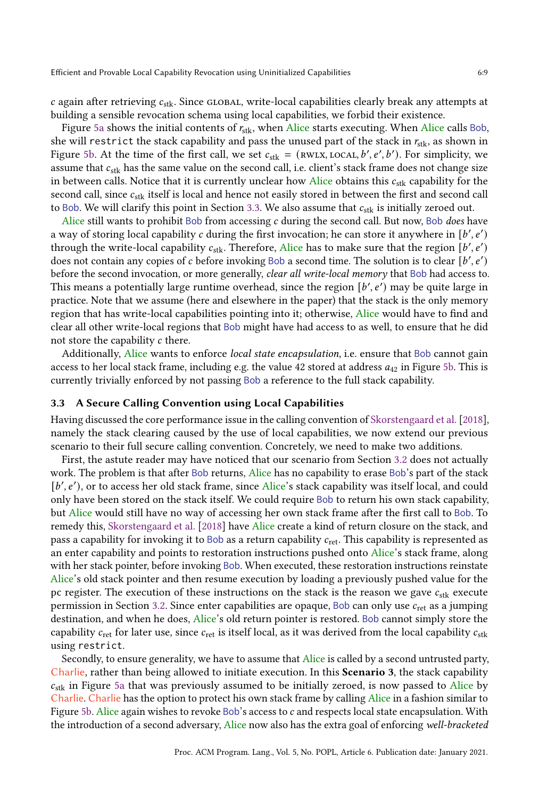$c$  again after retrieving  $c_{\text{stk}}$ . Since GLOBAL, write-local capabilities clearly break any attempts at building a sensible revocation schema using local capabilities, we forbid their existence.

Figure [5a](#page-7-0) shows the initial contents of  $r_{\text{stk}}$ , when Alice starts executing. When Alice calls Bob, she will restrict the stack capability and pass the unused part of the stack in  $r_{\rm{stk}}$ , as shown in Figure [5b.](#page-7-0) At the time of the first call, we set  $c_{stk} = (\text{RWLX, LOCAL}, b', e', b')$ . For simplicity, we assume that  $c_{\rm stk}$  has the same value on the second call, i.e. client's stack frame does not change size in between calls. Notice that it is currently unclear how Alice obtains this  $c_{\rm{stk}}$  capability for the second call, since  $c_{stk}$  itself is local and hence not easily stored in between the first and second call to Bob. We will clarify this point in Section [3.3.](#page-8-0) We also assume that  $c_{\text{stk}}$  is initially zeroed out.

Alice still wants to prohibit Bob from accessing  $c$  during the second call. But now, Bob does have a way of storing local capability  $c$  during the first invocation; he can store it anywhere in  $[b', e')$ through the write-local capability  $c_{\rm stk}$ . Therefore, Alice has to make sure that the region  $[b', e')$ does not contain any copies of c before invoking Bob a second time. The solution is to clear  $[b', e')$ before the second invocation, or more generally, clear all write-local memory that Bob had access to. This means a potentially large runtime overhead, since the region  $[b', e')$  may be quite large in practice. Note that we assume (here and elsewhere in the paper) that the stack is the only memory region that has write-local capabilities pointing into it; otherwise, Alice would have to find and clear all other write-local regions that Bob might have had access to as well, to ensure that he did not store the capability c there.

Additionally, Alice wants to enforce local state encapsulation, i.e. ensure that Bob cannot gain access to her local stack frame, including e.g. the value 42 stored at address  $a_{42}$  in Figure [5b.](#page-7-0) This is currently trivially enforced by not passing Bob a reference to the full stack capability.

#### <span id="page-8-0"></span>3.3 A Secure Calling Convention using Local Capabilities

Having discussed the core performance issue in the calling convention of [Skorstengaard et al.](#page-28-5) [\[2018\]](#page-28-5), namely the stack clearing caused by the use of local capabilities, we now extend our previous scenario to their full secure calling convention. Concretely, we need to make two additions.

First, the astute reader may have noticed that our scenario from Section [3.2](#page-7-1) does not actually work. The problem is that after Bob returns, Alice has no capability to erase Bob's part of the stack [b', e'), or to access her old stack frame, since Alice's stack capability was itself local, and could only have been stored on the stack itself. We could require Bob to return his own stack capability, but Alice would still have no way of accessing her own stack frame after the first call to Bob. To remedy this, [Skorstengaard et al.](#page-28-5) [\[2018\]](#page-28-5) have Alice create a kind of return closure on the stack, and pass a capability for invoking it to Bob as a return capability  $c_{\text{ret}}$ . This capability is represented as an enter capability and points to restoration instructions pushed onto Alice's stack frame, along with her stack pointer, before invoking Bob. When executed, these restoration instructions reinstate Alice's old stack pointer and then resume execution by loading a previously pushed value for the pc register. The execution of these instructions on the stack is the reason we gave  $c_{\text{stk}}$  execute permission in Section [3.2.](#page-7-1) Since enter capabilities are opaque, Bob can only use  $c_{\text{ret}}$  as a jumping destination, and when he does, Alice's old return pointer is restored. Bob cannot simply store the capability  $c_{\text{ret}}$  for later use, since  $c_{\text{ret}}$  is itself local, as it was derived from the local capability  $c_{\text{stk}}$ using restrict.

Secondly, to ensure generality, we have to assume that Alice is called by a second untrusted party, Charlie, rather than being allowed to initiate execution. In this Scenario 3, the stack capability  $c_{\text{stk}}$  in Figure [5a](#page-7-0) that was previously assumed to be initially zeroed, is now passed to Alice by Charlie. Charlie has the option to protect his own stack frame by calling Alice in a fashion similar to Figure [5b.](#page-7-0) Alice again wishes to revoke Bob's access to  $c$  and respects local state encapsulation. With the introduction of a second adversary, Alice now also has the extra goal of enforcing well-bracketed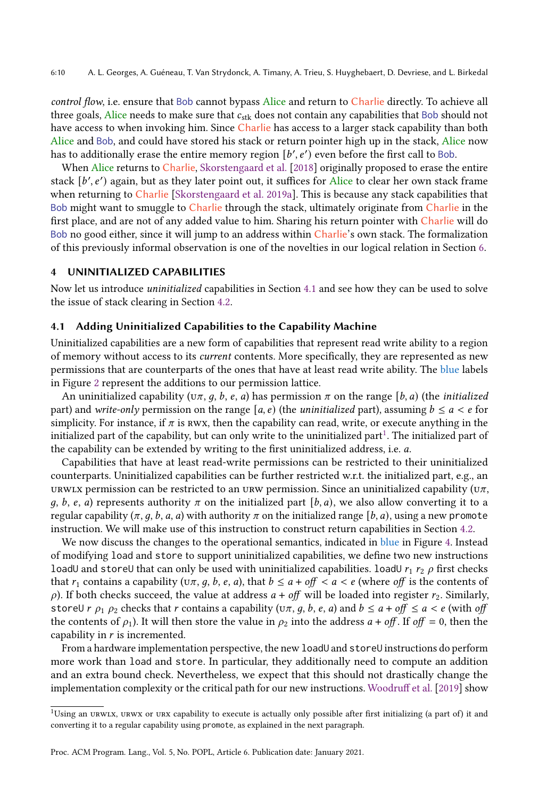control flow, i.e. ensure that Bob cannot bypass Alice and return to Charlie directly. To achieve all three goals, Alice needs to make sure that  $c_{\text{stk}}$  does not contain any capabilities that Bob should not have access to when invoking him. Since Charlie has access to a larger stack capability than both Alice and Bob, and could have stored his stack or return pointer high up in the stack, Alice now has to additionally erase the entire memory region  $[b', e')$  even before the first call to Bob.

When Alice returns to Charlie, [Skorstengaard et al.](#page-28-5) [\[2018\]](#page-28-5) originally proposed to erase the entire stack [b', e') again, but as they later point out, it suffices for Alice to clear her own stack frame when returning to Charlie [\[Skorstengaard et al.](#page-28-8) [2019a\]](#page-28-8). This is because any stack capabilities that Bob might want to smuggle to Charlie through the stack, ultimately originate from Charlie in the first place, and are not of any added value to him. Sharing his return pointer with Charlie will do Bob no good either, since it will jump to an address within Charlie's own stack. The formalization of this previously informal observation is one of the novelties in our logical relation in Section [6.](#page-14-0)

#### <span id="page-9-0"></span>4 UNINITIALIZED CAPABILITIES

Now let us introduce uninitialized capabilities in Section [4.1](#page-9-1) and see how they can be used to solve the issue of stack clearing in Section [4.2.](#page-10-0)

#### <span id="page-9-1"></span>4.1 Adding Uninitialized Capabilities to the Capability Machine

Uninitialized capabilities are a new form of capabilities that represent read write ability to a region of memory without access to its current contents. More specifically, they are represented as new permissions that are counterparts of the ones that have at least read write ability. The blue labels in Figure [2](#page-4-1) represent the additions to our permission lattice.

An uninitialized capability ( $\sigma\pi$ , q, b, e, q) has permission  $\pi$  on the range [b, q) (the *initialized* part) and write-only permission on the range  $[a, e)$  (the *uninitialized* part), assuming  $b \le a < e$  for simplicity. For instance, if  $\pi$  is rwx, then the capability can read, write, or execute anything in the initialized part of the capability, but can only write to the uninitialized part $^1$  $^1$ . The initialized part of the capability can be extended by writing to the first uninitialized address, i.e.  $a$ .

Capabilities that have at least read-write permissions can be restricted to their uninitialized counterparts. Uninitialized capabilities can be further restricted w.r.t. the initialized part, e.g., an urwlx permission can be restricted to an urw permission. Since an uninitialized capability ( $\sigma$ , q, b, e, a) represents authority  $\pi$  on the initialized part [b, a), we also allow converting it to a regular capability  $(\pi, q, b, a, a)$  with authority  $\pi$  on the initialized range [b, a), using a new promote instruction. We will make use of this instruction to construct return capabilities in Section [4.2.](#page-10-0)

We now discuss the changes to the operational semantics, indicated in blue in Figure [4.](#page-6-1) Instead of modifying load and store to support uninitialized capabilities, we define two new instructions loadU and storeU that can only be used with uninitialized capabilities. loadU  $r_1$   $r_2$   $\rho$  first checks that  $r_1$  contains a capability ( $\sigma, q, b, e, a$ ), that  $b \le a + \text{off} < a < e$  (where off is the contents of  $\rho$ ). If both checks succeed, the value at address  $a + off$  will be loaded into register  $r_2$ . Similarly, storeU  $r \rho_1 \rho_2$  checks that  $r$  contains a capability ( $(\sigma \pi, q, b, e, a)$  and  $b \le a + \text{off} \le a < e$  (with off the contents of  $\rho_1$ ). It will then store the value in  $\rho_2$  into the address  $a + off$ . If off = 0, then the capability in  $r$  is incremented.

From a hardware implementation perspective, the new loadU and storeU instructions do perform more work than load and store. In particular, they additionally need to compute an addition and an extra bound check. Nevertheless, we expect that this should not drastically change the implementation complexity or the critical path for our new instructions. [Woodruff et al.](#page-28-9) [\[2019\]](#page-28-9) show

<span id="page-9-2"></span><sup>&</sup>lt;sup>1</sup>Using an urwlx, urwx or urx capability to execute is actually only possible after first initializing (a part of) it and converting it to a regular capability using promote, as explained in the next paragraph.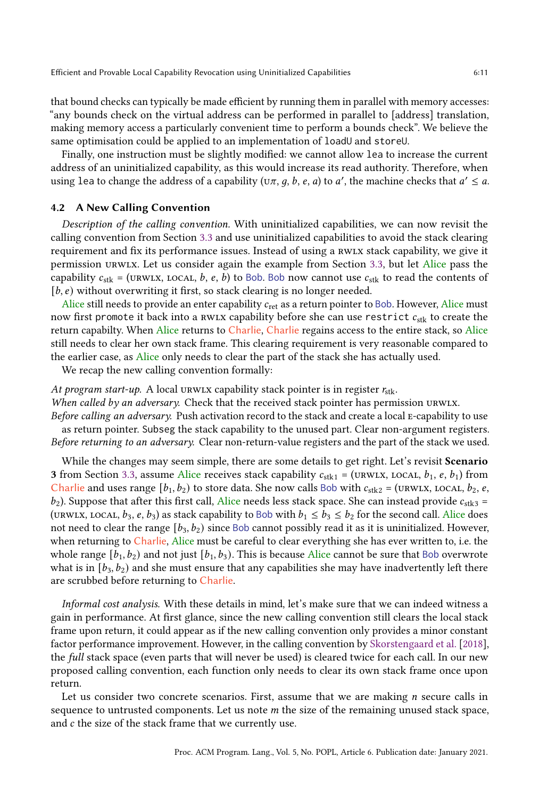that bound checks can typically be made efficient by running them in parallel with memory accesses: "any bounds check on the virtual address can be performed in parallel to [address] translation, making memory access a particularly convenient time to perform a bounds check". We believe the same optimisation could be applied to an implementation of loadU and storeU.

Finally, one instruction must be slightly modified: we cannot allow lea to increase the current address of an uninitialized capability, as this would increase its read authority. Therefore, when using lea to change the address of a capability ( $(\sigma \pi, g, b, e, a)$  to a', the machine checks that  $a' \le a$ .

### <span id="page-10-0"></span>4.2 A New Calling Convention

Description of the calling convention. With uninitialized capabilities, we can now revisit the calling convention from Section [3.3](#page-8-0) and use uninitialized capabilities to avoid the stack clearing requirement and fix its performance issues. Instead of using a RWLX stack capability, we give it permission urwlx. Let us consider again the example from Section [3.3,](#page-8-0) but let Alice pass the capability  $c_{\rm stk}$  = (URWLX, LOCAL, b, e, b) to Bob. Bob now cannot use  $c_{\rm stk}$  to read the contents of  $[b, e)$  without overwriting it first, so stack clearing is no longer needed.

Alice still needs to provide an enter capability  $c_{\text{ret}}$  as a return pointer to Bob. However, Alice must now first promote it back into a RWLX capability before she can use restrict  $c_{\rm stk}$  to create the return capabilty. When Alice returns to Charlie, Charlie regains access to the entire stack, so Alice still needs to clear her own stack frame. This clearing requirement is very reasonable compared to the earlier case, as Alice only needs to clear the part of the stack she has actually used.

We recap the new calling convention formally:

At program start-up. A local urwlx capability stack pointer is in register  $r_{\text{stk}}$ .

When called by an adversary. Check that the received stack pointer has permission urwlx.

Before calling an adversary. Push activation record to the stack and create a local E-capability to use as return pointer. Subseg the stack capability to the unused part. Clear non-argument registers. Before returning to an adversary. Clear non-return-value registers and the part of the stack we used.

While the changes may seem simple, there are some details to get right. Let's revisit Scenario 3 from Section [3.3,](#page-8-0) assume Alice receives stack capability  $c_{\text{stk1}} = (\text{URWIX, LOCAL}, b_1, e, b_1)$  from Charlie and uses range  $[b_1, b_2)$  to store data. She now calls Bob with  $c_{\text{stk}} = (\text{URWIX}, \text{LOCAL}, b_2, e,$  $b_2$ ). Suppose that after this first call, Alice needs less stack space. She can instead provide  $c_{\text{stk3}} =$ (URWLX, LOCAL,  $b_3$ , e,  $b_3$ ) as stack capability to Bob with  $b_1 \leq b_3 \leq b_2$  for the second call. Alice does not need to clear the range  $[b_3, b_2)$  since Bob cannot possibly read it as it is uninitialized. However, when returning to Charlie, Alice must be careful to clear everything she has ever written to, i.e. the whole range  $[b_1, b_2]$  and not just  $[b_1, b_3]$ . This is because Alice cannot be sure that Bob overwrote what is in  $[b_3, b_2)$  and she must ensure that any capabilities she may have inadvertently left there are scrubbed before returning to Charlie.

Informal cost analysis. With these details in mind, let's make sure that we can indeed witness a gain in performance. At first glance, since the new calling convention still clears the local stack frame upon return, it could appear as if the new calling convention only provides a minor constant factor performance improvement. However, in the calling convention by [Skorstengaard et al.](#page-28-5) [\[2018\]](#page-28-5), the full stack space (even parts that will never be used) is cleared twice for each call. In our new proposed calling convention, each function only needs to clear its own stack frame once upon return.

Let us consider two concrete scenarios. First, assume that we are making  $n$  secure calls in sequence to untrusted components. Let us note  $m$  the size of the remaining unused stack space, and  $c$  the size of the stack frame that we currently use.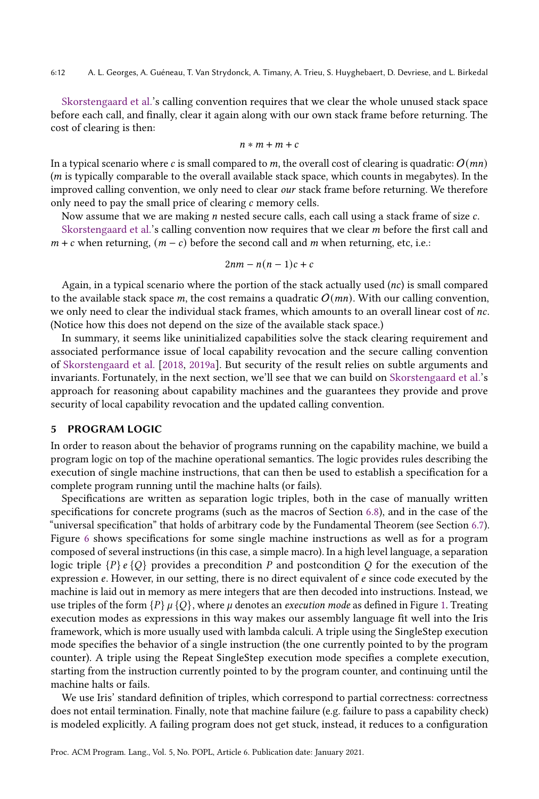[Skorstengaard et al.'](#page-28-5)s calling convention requires that we clear the whole unused stack space before each call, and finally, clear it again along with our own stack frame before returning. The cost of clearing is then:

$$
n*m+m+c
$$

In a typical scenario where c is small compared to m, the overall cost of clearing is quadratic:  $O(mn)$  $(m)$  is typically comparable to the overall available stack space, which counts in megabytes). In the improved calling convention, we only need to clear our stack frame before returning. We therefore only need to pay the small price of clearing  $c$  memory cells.

Now assume that we are making  $n$  nested secure calls, each call using a stack frame of size  $c$ .

[Skorstengaard et al.'](#page-28-5)s calling convention now requires that we clear  $m$  before the first call and  $m + c$  when returning,  $(m - c)$  before the second call and m when returning, etc, i.e.:

$$
2nm - n(n-1)c + c
$$

Again, in a typical scenario where the portion of the stack actually used  $(nc)$  is small compared to the available stack space m, the cost remains a quadratic  $O(mn)$ . With our calling convention, we only need to clear the individual stack frames, which amounts to an overall linear cost of  $nc$ . (Notice how this does not depend on the size of the available stack space.)

In summary, it seems like uninitialized capabilities solve the stack clearing requirement and associated performance issue of local capability revocation and the secure calling convention of [Skorstengaard et al.](#page-28-5) [\[2018,](#page-28-5) [2019a\]](#page-28-8). But security of the result relies on subtle arguments and invariants. Fortunately, in the next section, we'll see that we can build on [Skorstengaard et al.'](#page-28-8)s approach for reasoning about capability machines and the guarantees they provide and prove security of local capability revocation and the updated calling convention.

#### <span id="page-11-0"></span>5 PROGRAM LOGIC

In order to reason about the behavior of programs running on the capability machine, we build a program logic on top of the machine operational semantics. The logic provides rules describing the execution of single machine instructions, that can then be used to establish a specification for a complete program running until the machine halts (or fails).

Specifications are written as separation logic triples, both in the case of manually written specifications for concrete programs (such as the macros of Section [6.8\)](#page-22-0), and in the case of the "universal specification" that holds of arbitrary code by the Fundamental Theorem (see Section [6.7\)](#page-21-0). Figure [6](#page-12-0) shows specifications for some single machine instructions as well as for a program composed of several instructions (in this case, a simple macro). In a high level language, a separation logic triple  ${P}$   ${e}$   ${Q}$  provides a precondition P and postcondition Q for the execution of the expression  $e$ . However, in our setting, there is no direct equivalent of  $e$  since code executed by the machine is laid out in memory as mere integers that are then decoded into instructions. Instead, we use triples of the form  ${P}$   $\mu$   ${Q}$ , where  $\mu$  denotes an *execution mode* as defined in Figure [1.](#page-4-0) Treating execution modes as expressions in this way makes our assembly language fit well into the Iris framework, which is more usually used with lambda calculi. A triple using the SingleStep execution mode specifies the behavior of a single instruction (the one currently pointed to by the program counter). A triple using the Repeat SingleStep execution mode specifies a complete execution, starting from the instruction currently pointed to by the program counter, and continuing until the machine halts or fails.

We use Iris' standard definition of triples, which correspond to partial correctness: correctness does not entail termination. Finally, note that machine failure (e.g. failure to pass a capability check) is modeled explicitly. A failing program does not get stuck, instead, it reduces to a configuration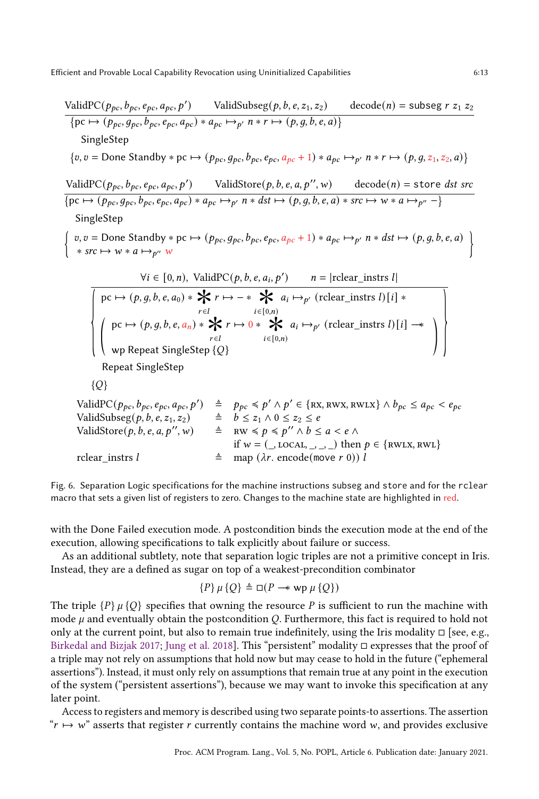<span id="page-12-0"></span>ValidPC(, , , , ′ ) ValidSubseg(, , , 1, 2) decode() = subseg <sup>1</sup> <sup>2</sup> {pc ↦→ (, , , , ) ∗ ↦→ ′ ∗ ↦→ (, , , , )} SingleStep {, = Done Standby ∗ pc ↦→ (, , , , + 1) ∗ ↦→ ′ ∗ ↦→ (, , 1, 2, )} ValidPC(, , , , ′ ) ValidStore(, , , , ′′,) decode() = store dst src {pc ↦→ (, , , , ) ∗ ↦→ ′ ∗ dst ↦→ (, , , , ) ∗ src ↦→ ∗ ↦→ ′′ −} SingleStep { , = Done Standby ∗ pc ↦→ (, , , , + 1) ∗ ↦→ ′ ∗ dst ↦→ (, , , , ) ∗ src ↦→ ∗ ↦→ ′′ } ∀ ∈ [0, ), ValidPC(, , , , ′ ) = |rclear\_instrs | { pc ↦→ (, , , , 0) ∗ ∗ <sup>∈</sup> ↦→ − ∗ ∈ [ ∗ 0,) ↦→ ′ (rclear\_instrs ) [] ∗ © « pc ↦→ (, , , , ) ∗ ∗ <sup>∈</sup> ↦→ 0 ∗ ∈ [ ∗ 0,) ↦→ ′ (rclear\_instrs ) [] −−∗ wp Repeat SingleStep {} ª ® ¬ } Repeat SingleStep {} ValidPC(, , , , ′ ) ≜ ≼ ′ ∧ ′ ∈ {rx, rwx, rwlx} ∧ ≤ < ValidSubseg(, , , 1, 2) ≜ ≤ <sup>1</sup> ∧ 0 ≤ <sup>2</sup> ≤ ValidStore(, , , , ′′,) ≜ rw ≼ ≼ ′′ ∧ ≤ < ∧ if = (\_, local, \_, \_, \_) then ∈ {rwlx, rwl} rclear\_instrs ≜ map ( . encode(move 0))

Fig. 6. Separation Logic specifications for the machine instructions subseg and store and for the rclear macro that sets a given list of registers to zero. Changes to the machine state are highlighted in red.

with the Done Failed execution mode. A postcondition binds the execution mode at the end of the execution, allowing specifications to talk explicitly about failure or success.

As an additional subtlety, note that separation logic triples are not a primitive concept in Iris. Instead, they are a defined as sugar on top of a weakest-precondition combinator

$$
\{P\}\,\mu\,\{Q\} \triangleq \Box(P \rightarrow \sup \mu\,\{Q\})
$$

The triple  ${P}$   $\mu$  {Q} specifies that owning the resource P is sufficient to run the machine with mode  $\mu$  and eventually obtain the postcondition Q. Furthermore, this fact is required to hold not only at the current point, but also to remain true indefinitely, using the Iris modality  $\Box$  [see, e.g., [Birkedal and Bizjak](#page-26-1) [2017;](#page-26-1) [Jung et al.](#page-27-3) [2018\]](#page-27-3). This "persistent" modality □ expresses that the proof of a triple may not rely on assumptions that hold now but may cease to hold in the future ("ephemeral assertions"). Instead, it must only rely on assumptions that remain true at any point in the execution of the system ("persistent assertions"), because we may want to invoke this specification at any later point.

Access to registers and memory is described using two separate points-to assertions. The assertion " $r \mapsto w$ " asserts that register r currently contains the machine word w, and provides exclusive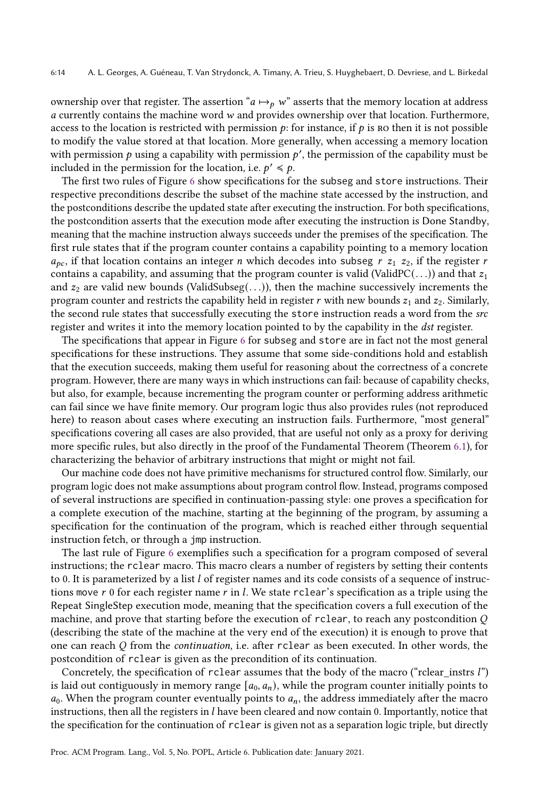ownership over that register. The assertion " $a \mapsto_{p} w$ " asserts that the memory location at address  $a$  currently contains the machine word  $w$  and provides ownership over that location. Furthermore, access to the location is restricted with permission  $p$ : for instance, if  $p$  is no then it is not possible to modify the value stored at that location. More generally, when accessing a memory location with permission  $p$  using a capability with permission  $p'$ , the permission of the capability must be included in the permission for the location, i.e.  $p' \leq p$ .

The first two rules of Figure [6](#page-12-0) show specifications for the subseg and store instructions. Their respective preconditions describe the subset of the machine state accessed by the instruction, and the postconditions describe the updated state after executing the instruction. For both specifications, the postcondition asserts that the execution mode after executing the instruction is Done Standby, meaning that the machine instruction always succeeds under the premises of the specification. The first rule states that if the program counter contains a capability pointing to a memory location  $a_{pc}$ , if that location contains an integer *n* which decodes into subseg  $r z_1 z_2$ , if the register *r* contains a capability, and assuming that the program counter is valid (ValidPC( $\dots$ )) and that  $z_1$ and  $z_2$  are valid new bounds (ValidSubseg(...)), then the machine successively increments the program counter and restricts the capability held in register r with new bounds  $z_1$  and  $z_2$ . Similarly, the second rule states that successfully executing the store instruction reads a word from the src register and writes it into the memory location pointed to by the capability in the dst register.

The specifications that appear in Figure [6](#page-12-0) for subseg and store are in fact not the most general specifications for these instructions. They assume that some side-conditions hold and establish that the execution succeeds, making them useful for reasoning about the correctness of a concrete program. However, there are many ways in which instructions can fail: because of capability checks, but also, for example, because incrementing the program counter or performing address arithmetic can fail since we have finite memory. Our program logic thus also provides rules (not reproduced here) to reason about cases where executing an instruction fails. Furthermore, "most general" specifications covering all cases are also provided, that are useful not only as a proxy for deriving more specific rules, but also directly in the proof of the Fundamental Theorem (Theorem [6.1\)](#page-21-1), for characterizing the behavior of arbitrary instructions that might or might not fail.

Our machine code does not have primitive mechanisms for structured control flow. Similarly, our program logic does not make assumptions about program control flow. Instead, programs composed of several instructions are specified in continuation-passing style: one proves a specification for a complete execution of the machine, starting at the beginning of the program, by assuming a specification for the continuation of the program, which is reached either through sequential instruction fetch, or through a jmp instruction.

The last rule of Figure [6](#page-12-0) exemplifies such a specification for a program composed of several instructions; the rclear macro. This macro clears a number of registers by setting their contents to 0. It is parameterized by a list  $l$  of register names and its code consists of a sequence of instructions move  $r$  0 for each register name  $r$  in  $l$ . We state rclear's specification as a triple using the Repeat SingleStep execution mode, meaning that the specification covers a full execution of the machine, and prove that starting before the execution of rclear, to reach any postcondition  $Q$ (describing the state of the machine at the very end of the execution) it is enough to prove that one can reach  $Q$  from the *continuation*, i.e. after rclear as been executed. In other words, the postcondition of rclear is given as the precondition of its continuation.

Concretely, the specification of rclear assumes that the body of the macro ("rclear instrs  $l$ ") is laid out contiguously in memory range  $[a_0, a_n)$ , while the program counter initially points to  $a_0$ . When the program counter eventually points to  $a_n$ , the address immediately after the macro instructions, then all the registers in *l* have been cleared and now contain 0. Importantly, notice that the specification for the continuation of rclear is given not as a separation logic triple, but directly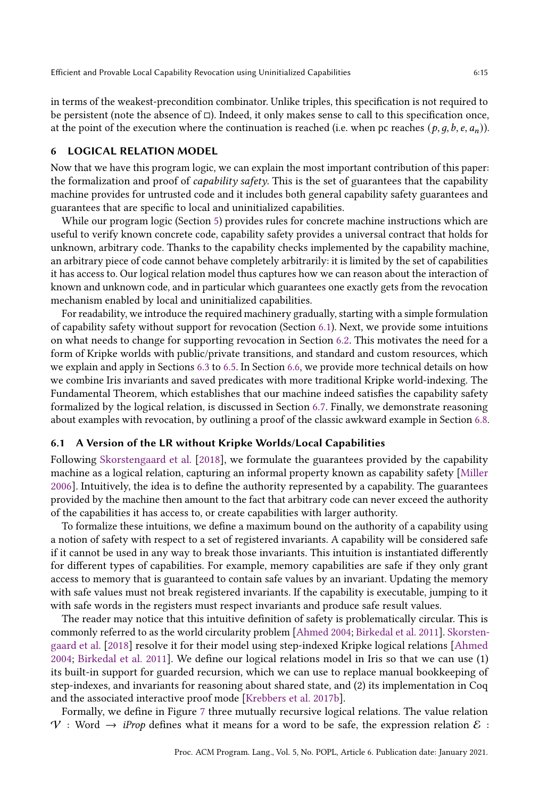in terms of the weakest-precondition combinator. Unlike triples, this specification is not required to be persistent (note the absence of □). Indeed, it only makes sense to call to this specification once, at the point of the execution where the continuation is reached (i.e. when pc reaches  $(p, q, b, e, a_n)$ ).

# <span id="page-14-0"></span>6 LOGICAL RELATION MODEL

Now that we have this program logic, we can explain the most important contribution of this paper: the formalization and proof of *capability safety*. This is the set of guarantees that the capability machine provides for untrusted code and it includes both general capability safety guarantees and guarantees that are specific to local and uninitialized capabilities.

While our program logic (Section [5\)](#page-11-0) provides rules for concrete machine instructions which are useful to verify known concrete code, capability safety provides a universal contract that holds for unknown, arbitrary code. Thanks to the capability checks implemented by the capability machine, an arbitrary piece of code cannot behave completely arbitrarily: it is limited by the set of capabilities it has access to. Our logical relation model thus captures how we can reason about the interaction of known and unknown code, and in particular which guarantees one exactly gets from the revocation mechanism enabled by local and uninitialized capabilities.

For readability, we introduce the required machinery gradually, starting with a simple formulation of capability safety without support for revocation (Section [6.1\)](#page-14-1). Next, we provide some intuitions on what needs to change for supporting revocation in Section [6.2.](#page-16-0) This motivates the need for a form of Kripke worlds with public/private transitions, and standard and custom resources, which we explain and apply in Sections [6.3](#page-17-0) to [6.5.](#page-19-0) In Section [6.6,](#page-20-0) we provide more technical details on how we combine Iris invariants and saved predicates with more traditional Kripke world-indexing. The Fundamental Theorem, which establishes that our machine indeed satisfies the capability safety formalized by the logical relation, is discussed in Section [6.7.](#page-21-0) Finally, we demonstrate reasoning about examples with revocation, by outlining a proof of the classic awkward example in Section [6.8.](#page-22-0)

# <span id="page-14-1"></span>6.1 A Version of the LR without Kripke Worlds/Local Capabilities

Following [Skorstengaard et al.](#page-28-5) [\[2018\]](#page-28-5), we formulate the guarantees provided by the capability machine as a logical relation, capturing an informal property known as capability safety [\[Miller](#page-28-2) [2006\]](#page-28-2). Intuitively, the idea is to define the authority represented by a capability. The guarantees provided by the machine then amount to the fact that arbitrary code can never exceed the authority of the capabilities it has access to, or create capabilities with larger authority.

To formalize these intuitions, we define a maximum bound on the authority of a capability using a notion of safety with respect to a set of registered invariants. A capability will be considered safe if it cannot be used in any way to break those invariants. This intuition is instantiated differently for different types of capabilities. For example, memory capabilities are safe if they only grant access to memory that is guaranteed to contain safe values by an invariant. Updating the memory with safe values must not break registered invariants. If the capability is executable, jumping to it with safe words in the registers must respect invariants and produce safe result values.

The reader may notice that this intuitive definition of safety is problematically circular. This is commonly referred to as the world circularity problem [\[Ahmed](#page-26-2) [2004;](#page-26-2) [Birkedal et al.](#page-26-3) [2011\]](#page-26-3). [Skorsten](#page-28-5)[gaard et al.](#page-28-5) [\[2018\]](#page-28-5) resolve it for their model using step-indexed Kripke logical relations [\[Ahmed](#page-26-2) [2004;](#page-26-2) [Birkedal et al.](#page-26-3) [2011\]](#page-26-3). We define our logical relations model in Iris so that we can use (1) its built-in support for guarded recursion, which we can use to replace manual bookkeeping of step-indexes, and invariants for reasoning about shared state, and (2) its implementation in Coq and the associated interactive proof mode [\[Krebbers et al.](#page-28-7) [2017b\]](#page-28-7).

Formally, we define in Figure [7](#page-15-0) three mutually recursive logical relations. The value relation  $V$  : Word  $\rightarrow$  *iProp* defines what it means for a word to be safe, the expression relation  $\mathcal{E}$  :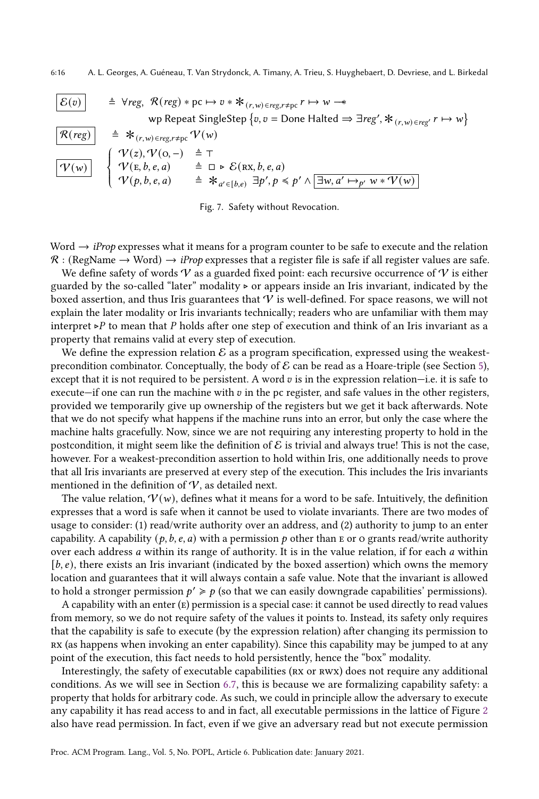6:16 A. L. Georges, A. Guéneau, T. Van Strydonck, A. Timany, A. Trieu, S. Huyghebaert, D. Devriese, and L. Birkedal

<span id="page-15-0"></span>

| $\mathcal{E}(v)$          | $\triangleq$ Vreg, $\mathcal{R}(reg) * pc \mapsto v * *_{(r,w) \in reg, r \neq pc} r \mapsto w \rightarrow$            |                                             |
|---------------------------|------------------------------------------------------------------------------------------------------------------------|---------------------------------------------|
| $\mathcal{R}(reg)$        | $\triangleq$ Vreg, $\mathcal{R}(reg) * pc \mapsto v * *_{(r,w) \in reg, r \neq pc} r \mapsto w$                        |                                             |
| $\mathcal{R}(reg)$        | $\triangleq$ * $\mathcal{R}(r, w) \in reg, r \neq pc$ $\mathcal{V}(w)$                                                 |                                             |
| $\mathcal{V}(reg)$        | $\triangleq$ * $\mathcal{V}(r, w) \in reg, r \neq pc$ $\mathcal{V}(w)$                                                 |                                             |
| $\mathcal{V}(w)$          | $\mathcal{V}(z), \mathcal{V}(o, -)$                                                                                    | $\triangleq$ T                              |
| $\mathcal{V}(w)$          | $\mathcal{V}(E, b, e, a)$                                                                                              | $\triangleq$ D * $\mathcal{E}(Rx, b, e, a)$ |
| $\mathcal{V}(p, b, e, a)$ | $\triangleq$ * $\mathcal{A}' \in [b, e)$ $\exists p', p \leq p' \land [\exists w, a' \mapsto_{p'} w * \mathcal{V}(w)]$ |                                             |

Fig. 7. Safety without Revocation.

Word  $\rightarrow$  *iProp* expresses what it means for a program counter to be safe to execute and the relation  $\mathcal{R}$  : (RegName  $\rightarrow$  Word)  $\rightarrow$  *iProp* expresses that a register file is safe if all register values are safe.

We define safety of words  $V$  as a guarded fixed point: each recursive occurrence of  $V$  is either guarded by the so-called "later" modality ⊲ or appears inside an Iris invariant, indicated by the boxed assertion, and thus Iris guarantees that  $\mathcal V$  is well-defined. For space reasons, we will not explain the later modality or Iris invariants technically; readers who are unfamiliar with them may interpret ⊳P to mean that P holds after one step of execution and think of an Iris invariant as a property that remains valid at every step of execution.

We define the expression relation  $\mathcal E$  as a program specification, expressed using the weakestprecondition combinator. Conceptually, the body of  $\mathcal E$  can be read as a Hoare-triple (see Section [5\)](#page-11-0), except that it is not required to be persistent. A word  $v$  is in the expression relation—i.e. it is safe to execute—if one can run the machine with  $v$  in the pc register, and safe values in the other registers, provided we temporarily give up ownership of the registers but we get it back afterwards. Note that we do not specify what happens if the machine runs into an error, but only the case where the machine halts gracefully. Now, since we are not requiring any interesting property to hold in the postcondition, it might seem like the definition of  $\mathcal E$  is trivial and always true! This is not the case, however. For a weakest-precondition assertion to hold within Iris, one additionally needs to prove that all Iris invariants are preserved at every step of the execution. This includes the Iris invariants mentioned in the definition of  $V$ , as detailed next.

The value relation,  $V(w)$ , defines what it means for a word to be safe. Intuitively, the definition expresses that a word is safe when it cannot be used to violate invariants. There are two modes of usage to consider: (1) read/write authority over an address, and (2) authority to jump to an enter capability. A capability  $(p, b, e, a)$  with a permission p other than E or O grants read/write authority over each address  $a$  within its range of authority. It is in the value relation, if for each  $a$  within  $[b, e)$ , there exists an Iris invariant (indicated by the boxed assertion) which owns the memory location and guarantees that it will always contain a safe value. Note that the invariant is allowed to hold a stronger permission  $p' \geq p$  (so that we can easily downgrade capabilities' permissions).

A capability with an enter  $(E)$  permission is a special case: it cannot be used directly to read values from memory, so we do not require safety of the values it points to. Instead, its safety only requires that the capability is safe to execute (by the expression relation) after changing its permission to rx (as happens when invoking an enter capability). Since this capability may be jumped to at any point of the execution, this fact needs to hold persistently, hence the "box" modality.

Interestingly, the safety of executable capabilities (rx or rwx) does not require any additional conditions. As we will see in Section [6.7,](#page-21-0) this is because we are formalizing capability safety: a property that holds for arbitrary code. As such, we could in principle allow the adversary to execute any capability it has read access to and in fact, all executable permissions in the lattice of Figure [2](#page-4-1) also have read permission. In fact, even if we give an adversary read but not execute permission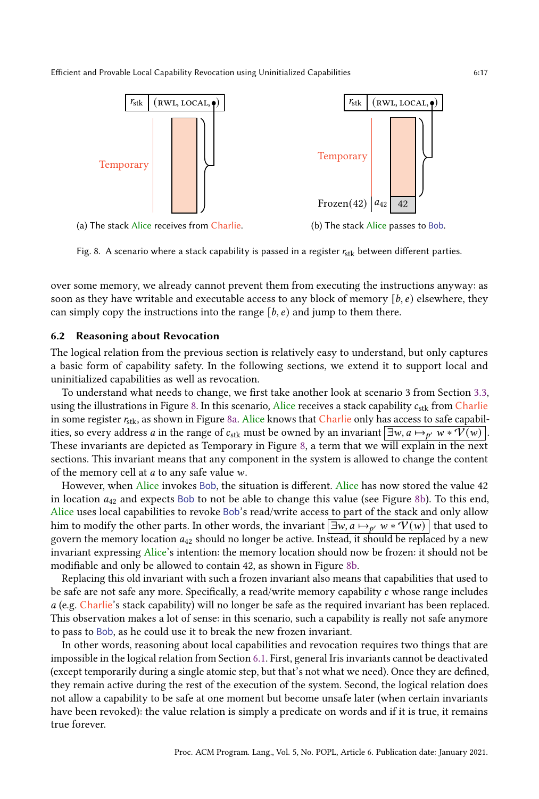<span id="page-16-1"></span>

Fig. 8. A scenario where a stack capability is passed in a register  $r_{\text{stk}}$  between different parties.

over some memory, we already cannot prevent them from executing the instructions anyway: as soon as they have writable and executable access to any block of memory  $[b, e]$  elsewhere, they can simply copy the instructions into the range  $[b, e)$  and jump to them there.

#### <span id="page-16-0"></span>6.2 Reasoning about Revocation

The logical relation from the previous section is relatively easy to understand, but only captures a basic form of capability safety. In the following sections, we extend it to support local and uninitialized capabilities as well as revocation.

To understand what needs to change, we first take another look at scenario 3 from Section [3.3,](#page-8-0) using the illustrations in Figure [8.](#page-16-1) In this scenario, Alice receives a stack capability  $c_{\rm{stk}}$  from Charlie in some register  $r_{\rm stk}$ , as shown in Figure [8a.](#page-16-1) Alice knows that Charlie only has access to safe capabilities, so every address  $a$  in the range of  $c_{\rm stk}$  must be owned by an invariant  $\boxed{\exists w, a \mapsto_{p'} w * \mathcal{V}(w)}$ . These invariants are depicted as Temporary in Figure [8,](#page-16-1) a term that we will explain in the next sections. This invariant means that any component in the system is allowed to change the content of the memory cell at  $a$  to any safe value  $w$ .

However, when Alice invokes Bob, the situation is different. Alice has now stored the value 42 in location  $a_{42}$  and expects Bob to not be able to change this value (see Figure [8b\)](#page-16-1). To this end, Alice uses local capabilities to revoke Bob's read/write access to part of the stack and only allow him to modify the other parts. In other words, the invariant  $\boxed{\exists w,a\mapsto_{p'}w*\mathcal{V}(w)}$  that used to govern the memory location  $a_{42}$  should no longer be active. Instead, it should be replaced by a new invariant expressing Alice's intention: the memory location should now be frozen: it should not be modifiable and only be allowed to contain 42, as shown in Figure [8b.](#page-16-1)

Replacing this old invariant with such a frozen invariant also means that capabilities that used to be safe are not safe any more. Specifically, a read/write memory capability c whose range includes  $a$  (e.g. Charlie's stack capability) will no longer be safe as the required invariant has been replaced. This observation makes a lot of sense: in this scenario, such a capability is really not safe anymore to pass to Bob, as he could use it to break the new frozen invariant.

In other words, reasoning about local capabilities and revocation requires two things that are impossible in the logical relation from Section [6.1.](#page-14-1) First, general Iris invariants cannot be deactivated (except temporarily during a single atomic step, but that's not what we need). Once they are defined, they remain active during the rest of the execution of the system. Second, the logical relation does not allow a capability to be safe at one moment but become unsafe later (when certain invariants have been revoked): the value relation is simply a predicate on words and if it is true, it remains true forever.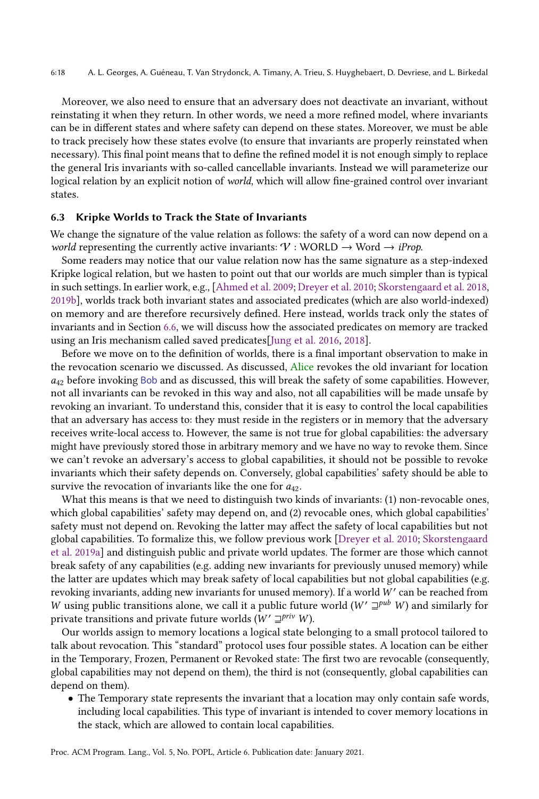Moreover, we also need to ensure that an adversary does not deactivate an invariant, without reinstating it when they return. In other words, we need a more refined model, where invariants can be in different states and where safety can depend on these states. Moreover, we must be able to track precisely how these states evolve (to ensure that invariants are properly reinstated when necessary). This final point means that to define the refined model it is not enough simply to replace the general Iris invariants with so-called cancellable invariants. Instead we will parameterize our logical relation by an explicit notion of world, which will allow fine-grained control over invariant states.

## <span id="page-17-0"></span>6.3 Kripke Worlds to Track the State of Invariants

We change the signature of the value relation as follows: the safety of a word can now depend on a world representing the currently active invariants:  $V : WORLD \rightarrow Word \rightarrow iProp$ .

Some readers may notice that our value relation now has the same signature as a step-indexed Kripke logical relation, but we hasten to point out that our worlds are much simpler than is typical in such settings. In earlier work, e.g., [\[Ahmed et al.](#page-26-4) [2009;](#page-26-4) [Dreyer et al.](#page-27-6) [2010;](#page-27-6) [Skorstengaard et al.](#page-28-5) [2018,](#page-28-5) [2019b\]](#page-28-10), worlds track both invariant states and associated predicates (which are also world-indexed) on memory and are therefore recursively defined. Here instead, worlds track only the states of invariants and in Section [6.6,](#page-20-0) we will discuss how the associated predicates on memory are tracked using an Iris mechanism called saved predicates[\[Jung et al.](#page-27-2) [2016,](#page-27-2) [2018\]](#page-27-3).

Before we move on to the definition of worlds, there is a final important observation to make in the revocation scenario we discussed. As discussed, Alice revokes the old invariant for location  $a_{42}$  before invoking Bob and as discussed, this will break the safety of some capabilities. However, not all invariants can be revoked in this way and also, not all capabilities will be made unsafe by revoking an invariant. To understand this, consider that it is easy to control the local capabilities that an adversary has access to: they must reside in the registers or in memory that the adversary receives write-local access to. However, the same is not true for global capabilities: the adversary might have previously stored those in arbitrary memory and we have no way to revoke them. Since we can't revoke an adversary's access to global capabilities, it should not be possible to revoke invariants which their safety depends on. Conversely, global capabilities' safety should be able to survive the revocation of invariants like the one for  $a_{42}$ .

What this means is that we need to distinguish two kinds of invariants: (1) non-revocable ones, which global capabilities' safety may depend on, and (2) revocable ones, which global capabilities' safety must not depend on. Revoking the latter may affect the safety of local capabilities but not global capabilities. To formalize this, we follow previous work [\[Dreyer et al.](#page-27-6) [2010;](#page-27-6) [Skorstengaard](#page-28-8) [et al.](#page-28-8) [2019a\]](#page-28-8) and distinguish public and private world updates. The former are those which cannot break safety of any capabilities (e.g. adding new invariants for previously unused memory) while the latter are updates which may break safety of local capabilities but not global capabilities (e.g. revoking invariants, adding new invariants for unused memory). If a world  $\bar{W}'$  can be reached from W using public transitions alone, we call it a public future world ( $W' \sqsupseteq^{pub} W$ ) and similarly for private transitions and private future worlds  $(W' \sqsupseteq^{priv} W)$ .

Our worlds assign to memory locations a logical state belonging to a small protocol tailored to talk about revocation. This "standard" protocol uses four possible states. A location can be either in the Temporary, Frozen, Permanent or Revoked state: The first two are revocable (consequently, global capabilities may not depend on them), the third is not (consequently, global capabilities can depend on them).

• The Temporary state represents the invariant that a location may only contain safe words, including local capabilities. This type of invariant is intended to cover memory locations in the stack, which are allowed to contain local capabilities.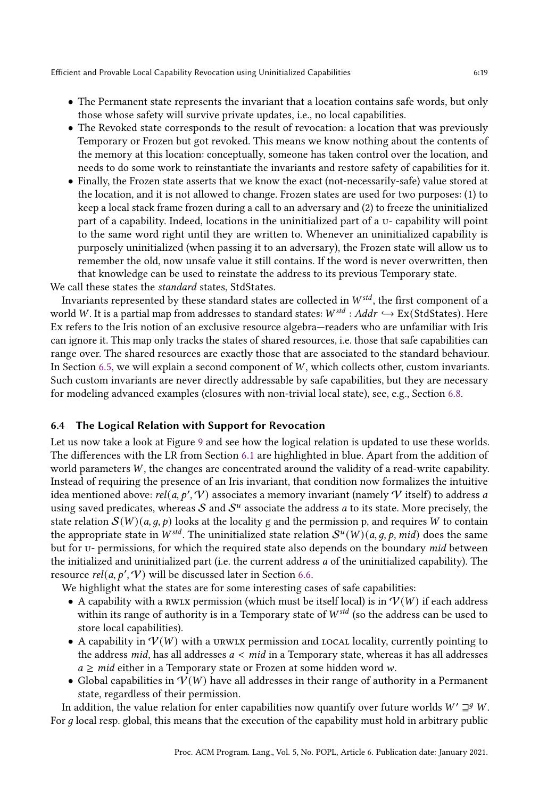- The Permanent state represents the invariant that a location contains safe words, but only those whose safety will survive private updates, i.e., no local capabilities.
- The Revoked state corresponds to the result of revocation: a location that was previously Temporary or Frozen but got revoked. This means we know nothing about the contents of the memory at this location: conceptually, someone has taken control over the location, and needs to do some work to reinstantiate the invariants and restore safety of capabilities for it.
- Finally, the Frozen state asserts that we know the exact (not-necessarily-safe) value stored at the location, and it is not allowed to change. Frozen states are used for two purposes: (1) to keep a local stack frame frozen during a call to an adversary and (2) to freeze the uninitialized part of a capability. Indeed, locations in the uninitialized part of a u- capability will point to the same word right until they are written to. Whenever an uninitialized capability is purposely uninitialized (when passing it to an adversary), the Frozen state will allow us to remember the old, now unsafe value it still contains. If the word is never overwritten, then that knowledge can be used to reinstate the address to its previous Temporary state.

We call these states the standard states, StdStates.

Invariants represented by these standard states are collected in  $W^{std}$ , the first component of a world W. It is a partial map from addresses to standard states:  $W^{std}$  :  $Addr \hookrightarrow \text{Ex}(StdStates)$ . Here Ex refers to the Iris notion of an exclusive resource algebra—readers who are unfamiliar with Iris can ignore it. This map only tracks the states of shared resources, i.e. those that safe capabilities can range over. The shared resources are exactly those that are associated to the standard behaviour. In Section [6.5,](#page-19-0) we will explain a second component of  $W$ , which collects other, custom invariants. Such custom invariants are never directly addressable by safe capabilities, but they are necessary for modeling advanced examples (closures with non-trivial local state), see, e.g., Section [6.8.](#page-22-0)

# 6.4 The Logical Relation with Support for Revocation

Let us now take a look at Figure [9](#page-19-1) and see how the logical relation is updated to use these worlds. The differences with the LR from Section [6.1](#page-14-1) are highlighted in blue. Apart from the addition of world parameters  $W$ , the changes are concentrated around the validity of a read-write capability. Instead of requiring the presence of an Iris invariant, that condition now formalizes the intuitive idea mentioned above: rel(a, p', V) associates a memory invariant (namely  ${\cal V}$  itself) to address a using saved predicates, whereas  $S$  and  $S^u$  associate the address  $a$  to its state. More precisely, the state relation  $\mathcal{S}(W)(a, q, p)$  looks at the locality g and the permission p, and requires W to contain the appropriate state in  $W^{std}$ . The uninitialized state relation  $S^u(W)(a, g, p, mid)$  does the same but for u- permissions, for which the required state also depends on the boundary mid between the initialized and uninitialized part (i.e. the current address  $a$  of the uninitialized capability). The resource  $rel(a, p', V)$  will be discussed later in Section [6.6.](#page-20-0)

We highlight what the states are for some interesting cases of safe capabilities:

- A capability with a rwlx permission (which must be itself local) is in  $V(W)$  if each address within its range of authority is in a Temporary state of  $W^{std}$  (so the address can be used to store local capabilities).
- A capability in  $V(W)$  with a urwlx permission and local locality, currently pointing to the address mid, has all addresses  $a < mid$  in a Temporary state, whereas it has all addresses  $a \geq mid$  either in a Temporary state or Frozen at some hidden word w.
- Global capabilities in  $V(W)$  have all addresses in their range of authority in a Permanent state, regardless of their permission.

In addition, the value relation for enter capabilities now quantify over future worlds  $W' \sqsupseteq^g W$ . For  $q$  local resp. global, this means that the execution of the capability must hold in arbitrary public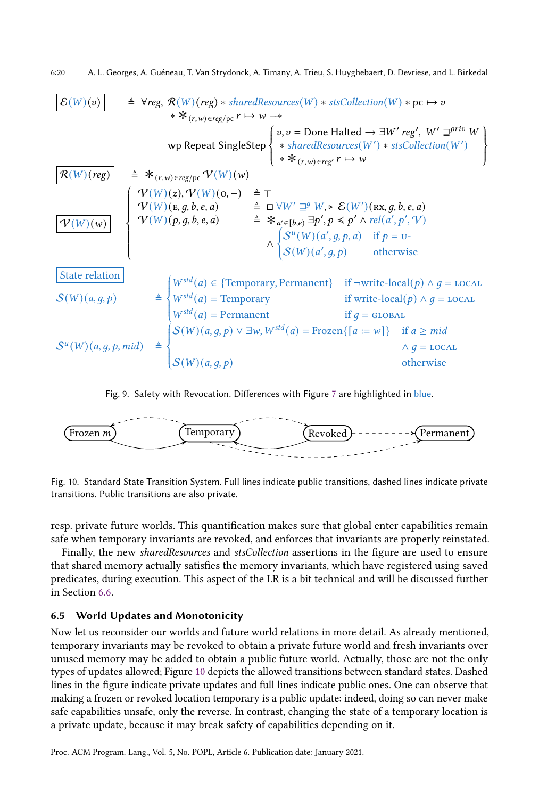<span id="page-19-1"></span>
$$
\begin{array}{ll}\n\mathcal{E}(W)(v) & \triangleq \forall \text{reg}, \mathcal{R}(W)(\text{reg}) * \text{sharedResources}(W) * \text{stsCollection}(W) * \text{pc} \mapsto v \\
& * \mathcal{K}_{(r,w) \in \text{reg}/p} \cdot r \mapsto w \stackrel{\text{def}}{\longrightarrow} v \\
& \text{wp} \in \text{Dom} \text{Halded} \rightarrow \exists W' \text{reg}', W' \sqsupseteq^{\text{priv}} W \\
& \text{wp} \in \text{Dom} \text{Halded} \rightarrow \exists W' \text{reg}', W' \sqsupseteq^{\text{priv}} W \\
& * \mathcal{K}_{(r,w) \in \text{reg}/p} \cdot r \mapsto w \\
& \text{wp} \in \text{Dom} \text{Halded} \rightarrow \exists W' \text{reg}', W' \sqsupseteq^{\text{priv}} W \\
& * \mathcal{K}_{(r,w) \in \text{reg}} \cdot r \mapsto w \\
& \text{wp} \in \text{Dom} \text{Halded} \rightarrow \exists W' \text{reg}', W' \sqsupseteq^{\text{priv}} W \\
& \text{wp} \in \text{Dom} \text{Halded} \rightarrow \exists W' \text{reg}', W' \sqsupseteq^{\text{priv}} W \\
& \text{wp} \in \text{Dom} \text{Halded} \rightarrow \exists W' \text{reg}', W' \sqsupseteq^{\text{priv}} W \\
& \text{wp} \in \text{Dom} \text{Halded} \rightarrow \text{Hom} \text{Halded} \rightarrow \text{Hom} \text{Halded} \rightarrow \text{Hom} \text{Halded} \text{Halded} \rightarrow \text{Hom} \text{Halded} \text{Halded} \text{Halded} \text{Halded} \text{Halded} \text{Halded} \text{Halded} \text{Halded} \text{Halded} \text{Halded} \text{Halded} \text{Halded} \text{Hilded} \text{Hilded} \text{Hilded} \text{Hilded} \text{Hilded} \text{Hilded} \text{Hilded} \text{Hilded} \text{Hilded} \text{Hilded} \text{Hilded} \text{Hilded} \text{Hilded} \text{Hilded} \text{Hilded} \text{Hilded} \text{Hilded} \text{Hilded} \text{Hilded} \text{Hilded} \text{
$$

Fig. 9. Safety with Revocation. Differences with Figure [7](#page-15-0) are highlighted in blue.

<span id="page-19-2"></span>

Fig. 10. Standard State Transition System. Full lines indicate public transitions, dashed lines indicate private transitions. Public transitions are also private.

resp. private future worlds. This quantification makes sure that global enter capabilities remain safe when temporary invariants are revoked, and enforces that invariants are properly reinstated.

Finally, the new sharedResources and stsCollection assertions in the figure are used to ensure that shared memory actually satisfies the memory invariants, which have registered using saved predicates, during execution. This aspect of the LR is a bit technical and will be discussed further in Section [6.6.](#page-20-0)

## <span id="page-19-0"></span>6.5 World Updates and Monotonicity

Now let us reconsider our worlds and future world relations in more detail. As already mentioned, temporary invariants may be revoked to obtain a private future world and fresh invariants over unused memory may be added to obtain a public future world. Actually, those are not the only types of updates allowed; Figure [10](#page-19-2) depicts the allowed transitions between standard states. Dashed lines in the figure indicate private updates and full lines indicate public ones. One can observe that making a frozen or revoked location temporary is a public update: indeed, doing so can never make safe capabilities unsafe, only the reverse. In contrast, changing the state of a temporary location is a private update, because it may break safety of capabilities depending on it.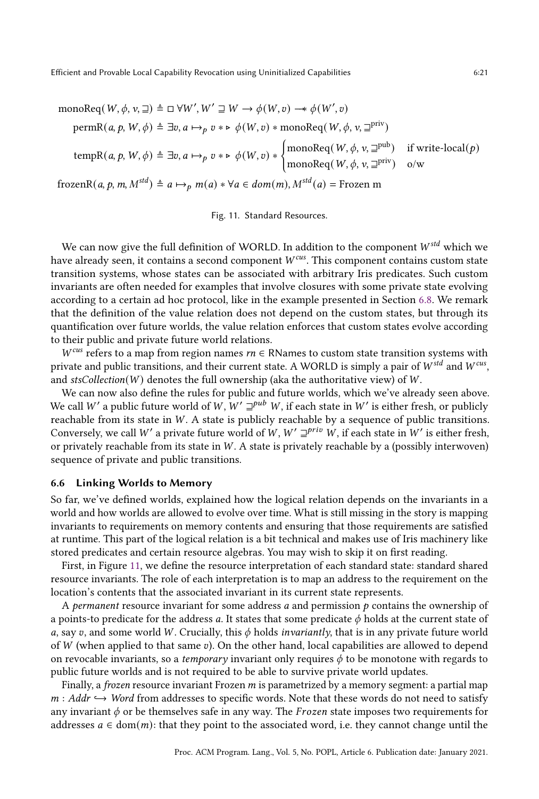<span id="page-20-1"></span>
$$
\text{monoReg}(W, \phi, v, \sqsupseteq) \triangleq \Box \forall W', W' \sqsupseteq W \rightarrow \phi(W, v) \rightarrow \phi(W', v)
$$
\n
$$
\text{permR}(a, p, W, \phi) \triangleq \exists v, a \mapsto_{p} v * \models \phi(W, v) * \text{monoReg}(W, \phi, v, \sqsupseteq^{\text{priv}})
$$
\n
$$
\text{tempR}(a, p, W, \phi) \triangleq \exists v, a \mapsto_{p} v * \models \phi(W, v) * \begin{cases}\n\text{monoReg}(W, \phi, v, \sqsupseteq^{\text{pub}}) & \text{if write-local}(p) \\
\text{monoReg}(W, \phi, v, \sqsupseteq^{\text{pub}}) & \text{if write-local}(p)\n\end{cases}
$$
\n
$$
\text{frozenR}(a, p, m, M^{\text{std}}) \triangleq a \mapsto_{p} m(a) * \forall a \in \text{dom}(m), M^{\text{std}}(a) = \text{Frozen m}
$$

Fig. 11. Standard Resources.

We can now give the full definition of WORLD. In addition to the component  $W^{std}$  which we have already seen, it contains a second component  $W^{cu}$ . This component contains custom state transition systems, whose states can be associated with arbitrary Iris predicates. Such custom invariants are often needed for examples that involve closures with some private state evolving according to a certain ad hoc protocol, like in the example presented in Section [6.8.](#page-22-0) We remark that the definition of the value relation does not depend on the custom states, but through its quantification over future worlds, the value relation enforces that custom states evolve according to their public and private future world relations.

 $W^{cus}$  refers to a map from region names  $rn \in \mathbb{R}$ Names to custom state transition systems with private and public transitions, and their current state. A WORLD is simply a pair of  $W^{std}$  and  $W^{cus}$ , and  $stsCollection(W)$  denotes the full ownership (aka the authoritative view) of W.

We can now also define the rules for public and future worlds, which we've already seen above. We call W' a public future world of W,  $W' \sqsupseteq^{pub} W$ , if each state in W' is either fresh, or publicly reachable from its state in  $W$ . A state is publicly reachable by a sequence of public transitions. Conversely, we call W' a private future world of W,  $W' \sqsupseteq^{priv} W$ , if each state in W' is either fresh, or privately reachable from its state in  $W$ . A state is privately reachable by a (possibly interwoven) sequence of private and public transitions.

# <span id="page-20-0"></span>6.6 Linking Worlds to Memory

So far, we've defined worlds, explained how the logical relation depends on the invariants in a world and how worlds are allowed to evolve over time. What is still missing in the story is mapping invariants to requirements on memory contents and ensuring that those requirements are satisfied at runtime. This part of the logical relation is a bit technical and makes use of Iris machinery like stored predicates and certain resource algebras. You may wish to skip it on first reading.

First, in Figure [11,](#page-20-1) we define the resource interpretation of each standard state: standard shared resource invariants. The role of each interpretation is to map an address to the requirement on the location's contents that the associated invariant in its current state represents.

A permanent resource invariant for some address a and permission  $p$  contains the ownership of a points-to predicate for the address a. It states that some predicate  $\phi$  holds at the current state of a, say v, and some world W. Crucially, this  $\phi$  holds *invariantly*, that is in any private future world of  $W$  (when applied to that same  $v$ ). On the other hand, local capabilities are allowed to depend on revocable invariants, so a *temporary* invariant only requires  $\phi$  to be monotone with regards to public future worlds and is not required to be able to survive private world updates.

Finally, a *frozen* resource invariant Frozen m is parametrized by a memory segment: a partial map  $m: Addr \hookrightarrow Word$  from addresses to specific words. Note that these words do not need to satisfy any invariant  $\phi$  or be themselves safe in any way. The *Frozen* state imposes two requirements for addresses  $a \in \text{dom}(m)$ : that they point to the associated word, i.e. they cannot change until the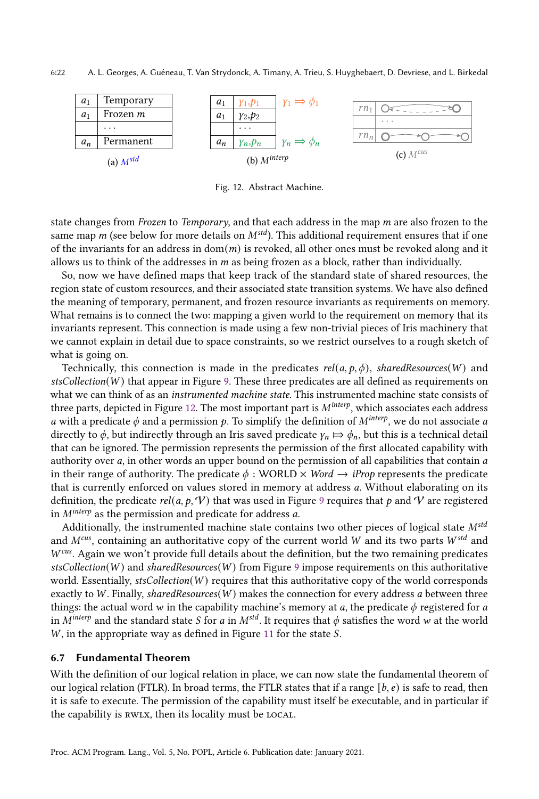<span id="page-21-2"></span>

Fig. 12. Abstract Machine.

state changes from *Frozen* to *Temporary*, and that each address in the map  $m$  are also frozen to the same map  $m$  (see below for more details on  $M^{std}$ ). This additional requirement ensures that if one of the invariants for an address in  $dom(m)$  is revoked, all other ones must be revoked along and it allows us to think of the addresses in  $m$  as being frozen as a block, rather than individually.

So, now we have defined maps that keep track of the standard state of shared resources, the region state of custom resources, and their associated state transition systems. We have also defined the meaning of temporary, permanent, and frozen resource invariants as requirements on memory. What remains is to connect the two: mapping a given world to the requirement on memory that its invariants represent. This connection is made using a few non-trivial pieces of Iris machinery that we cannot explain in detail due to space constraints, so we restrict ourselves to a rough sketch of what is going on.

Technically, this connection is made in the predicates rel(a,  $p, \phi$ ), sharedResources(W) and  $stsCollection(W)$  that appear in Figure [9.](#page-19-1) These three predicates are all defined as requirements on what we can think of as an instrumented machine state. This instrumented machine state consists of three parts, depicted in Figure [12.](#page-21-2) The most important part is  $M^{interp}$ , which associates each address a with a predicate  $\phi$  and a permission p. To simplify the definition of  $M^{interp}$ , we do not associate a directly to  $\phi$ , but indirectly through an Iris saved predicate  $\gamma_n \mapsto \phi_n$ , but this is a technical detail that can be ignored. The permission represents the permission of the first allocated capability with authority over  $a$ , in other words an upper bound on the permission of all capabilities that contain  $a$ in their range of authority. The predicate  $\phi$ : WORLD  $\times$  *Word*  $\rightarrow$  *iProp* represents the predicate that is currently enforced on values stored in memory at address a. Without elaborating on its definition, the predicate  $rel(a, p, V)$  that was used in Figure [9](#page-19-1) requires that p and V are registered in  $M^{interp}$  as the permission and predicate for address a.

Additionally, the instrumented machine state contains two other pieces of logical state  $M<sup>std</sup>$ and  $M^{cu}$ , containing an authoritative copy of the current world W and its two parts  $W^{std}$  and  $W<sup>cus</sup>$ . Again we won't provide full details about the definition, but the two remaining predicates  $stsCollection(W)$  and sharedResources(W) from Figure [9](#page-19-1) impose requirements on this authoritative world. Essentially,  $stsCollection(W)$  requires that this authoritative copy of the world corresponds exactly to  $W$ . Finally, sharedResources( $W$ ) makes the connection for every address a between three things: the actual word w in the capability machine's memory at a, the predicate  $\phi$  registered for a in  $M^{interp}$  and the standard state *S* for *a* in  $M^{std}$ . It requires that  $\phi$  satisfies the word *w* at the world  $W$ , in the appropriate way as defined in Figure [11](#page-20-1) for the state  $S$ .

### <span id="page-21-0"></span>6.7 Fundamental Theorem

<span id="page-21-1"></span>With the definition of our logical relation in place, we can now state the fundamental theorem of our logical relation (FTLR). In broad terms, the FTLR states that if a range  $[b, e)$  is safe to read, then it is safe to execute. The permission of the capability must itself be executable, and in particular if the capability is RWLX, then its locality must be LOCAL.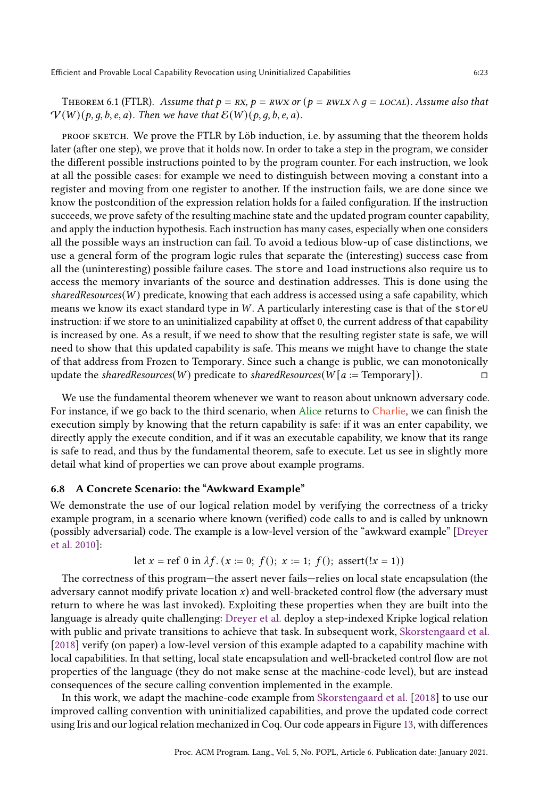THEOREM 6.1 (FTLR). Assume that  $p = RX$ ,  $p = RWX$  or  $(p = RWX \land q = Local)$ . Assume also that  $V(W)(p, q, b, e, a)$ . Then we have that  $E(W)(p, q, b, e, a)$ .

proof sketch. We prove the FTLR by Löb induction, i.e. by assuming that the theorem holds later (after one step), we prove that it holds now. In order to take a step in the program, we consider the different possible instructions pointed to by the program counter. For each instruction, we look at all the possible cases: for example we need to distinguish between moving a constant into a register and moving from one register to another. If the instruction fails, we are done since we know the postcondition of the expression relation holds for a failed configuration. If the instruction succeeds, we prove safety of the resulting machine state and the updated program counter capability, and apply the induction hypothesis. Each instruction has many cases, especially when one considers all the possible ways an instruction can fail. To avoid a tedious blow-up of case distinctions, we use a general form of the program logic rules that separate the (interesting) success case from all the (uninteresting) possible failure cases. The store and load instructions also require us to access the memory invariants of the source and destination addresses. This is done using the sharedResources( $W$ ) predicate, knowing that each address is accessed using a safe capability, which means we know its exact standard type in  $W$ . A particularly interesting case is that of the store  $U$ instruction: if we store to an uninitialized capability at offset 0, the current address of that capability is increased by one. As a result, if we need to show that the resulting register state is safe, we will need to show that this updated capability is safe. This means we might have to change the state of that address from Frozen to Temporary. Since such a change is public, we can monotonically update the sharedResources(W) predicate to sharedResources( $W[a := Temporary]$ ).

We use the fundamental theorem whenever we want to reason about unknown adversary code. For instance, if we go back to the third scenario, when Alice returns to Charlie, we can finish the execution simply by knowing that the return capability is safe: if it was an enter capability, we directly apply the execute condition, and if it was an executable capability, we know that its range is safe to read, and thus by the fundamental theorem, safe to execute. Let us see in slightly more detail what kind of properties we can prove about example programs.

# <span id="page-22-0"></span>6.8 A Concrete Scenario: the "Awkward Example"

We demonstrate the use of our logical relation model by verifying the correctness of a tricky example program, in a scenario where known (verified) code calls to and is called by unknown (possibly adversarial) code. The example is a low-level version of the "awkward example" [\[Dreyer](#page-27-6) [et al.](#page-27-6) [2010\]](#page-27-6):

let 
$$
x = \text{ref } 0
$$
 in  $\lambda f$ .  $(x := 0; f()$ ;  $x := 1; f()$ ; assert $(!x = 1)$ 

The correctness of this program—the assert never fails—relies on local state encapsulation (the adversary cannot modify private location  $x$ ) and well-bracketed control flow (the adversary must return to where he was last invoked). Exploiting these properties when they are built into the language is already quite challenging: [Dreyer et al.](#page-27-6) deploy a step-indexed Kripke logical relation with public and private transitions to achieve that task. In subsequent work, [Skorstengaard et al.](#page-28-5) [\[2018\]](#page-28-5) verify (on paper) a low-level version of this example adapted to a capability machine with local capabilities. In that setting, local state encapsulation and well-bracketed control flow are not properties of the language (they do not make sense at the machine-code level), but are instead consequences of the secure calling convention implemented in the example.

In this work, we adapt the machine-code example from [Skorstengaard et al.](#page-28-5) [\[2018\]](#page-28-5) to use our improved calling convention with uninitialized capabilities, and prove the updated code correct using Iris and our logical relation mechanized in Coq. Our code appears in Figure [13,](#page-23-0) with differences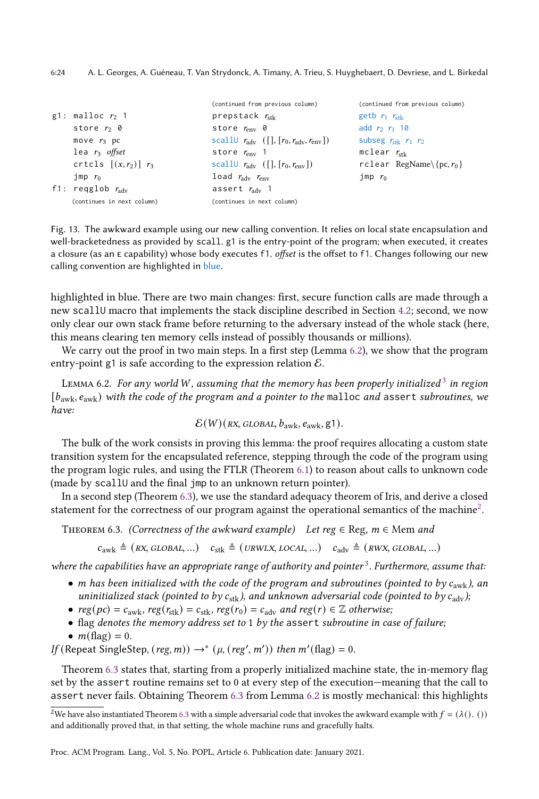<span id="page-23-0"></span>

|                              | (continued from previous column)                                      | (continued from previous column) |
|------------------------------|-----------------------------------------------------------------------|----------------------------------|
| g1: malloc $r_2$ 1           | prepstack $r_{\rm stk}$                                               | getb $r_1$ $r_{\rm stk}$         |
| store $r_2$ 0                | store $r_{env}$ 0                                                     | add $r_2$ $r_1$ 10               |
| move $r_3$ pc                | scall $r_{\text{adv}}$ ([], $[r_0, r_{\text{adv}}, r_{\text{env}}]$ ) | subseg $r_{\rm stk}$ $r_1$ $r_2$ |
| lea $r_3$ offset             | store $r_{\rm env}$ 1                                                 | mclear $r_{\rm stk}$             |
| crtcls $[(x, r_2)]$ $r_3$    | scall $r_{\text{adv}}$ ([], $[r_0, r_{\text{env}}]$ )                 | rclear RegName\{pc, $r_0$ }      |
| $\lim p r_0$                 | load $r_{\rm adv}$ $r_{\rm env}$                                      | $\mathop{\rm Jmp}$ $r_0$         |
| f1: regglob $r_{\text{adv}}$ | assert $r_{\text{adv}}$ 1                                             |                                  |
| (continues in next column)   | (continues in next column)                                            |                                  |

Fig. 13. The awkward example using our new calling convention. It relies on local state encapsulation and well-bracketedness as provided by scall. g1 is the entry-point of the program; when executed, it creates a closure (as an E capability) whose body executes f1. offset is the offset to f1. Changes following our new calling convention are highlighted in blue.

highlighted in blue. There are two main changes: first, secure function calls are made through a new scallU macro that implements the stack discipline described in Section [4.2;](#page-10-0) second, we now only clear our own stack frame before returning to the adversary instead of the whole stack (here, this means clearing ten memory cells instead of possibly thousands or millions).

We carry out the proof in two main steps. In a first step (Lemma [6.2\)](#page-23-1), we show that the program entry-point g1 is safe according to the expression relation  $\mathcal{E}$ .

<span id="page-23-1"></span>LEMMA 6.2. For any world W, assuming that the memory has been properly initialized  $^3$  $^3$  in region  $[b_{\text{awk}}, e_{\text{awk}})$  with the code of the program and a pointer to the malloc and assert subroutines, we have:

$$
\mathcal{E}(W)(\text{RX, GLOBAL}, b_{\text{awk}}, e_{\text{awk}}, g1).
$$

The bulk of the work consists in proving this lemma: the proof requires allocating a custom state transition system for the encapsulated reference, stepping through the code of the program using the program logic rules, and using the FTLR (Theorem [6.1\)](#page-21-1) to reason about calls to unknown code (made by scallU and the final jmp to an unknown return pointer).

In a second step (Theorem [6.3\)](#page-23-2), we use the standard adequacy theorem of Iris, and derive a closed statement for the correctness of our program against the operational semantics of the machine<sup>[2](#page-23-3)</sup>.

<span id="page-23-2"></span>THEOREM 6.3. (Correctness of the awkward example) Let reg  $\in$  Reg,  $m \in$  Mem and

 $c_{\text{awk}} \triangleq (RX, GLOBAL, ...)$   $c_{\text{stk}} \triangleq (URW L X, LOCAL, ...)$   $c_{\text{adv}} \triangleq (RW X, GLOBAL, ...)$ 

where the capabilities have an appropriate range of authority and pointer<sup>[3](#page-24-1)</sup>. Furthermore, assume that:

- m has been initialized with the code of the program and subroutines (pointed to by  $c_{\rm{awk}}$ ), an uninitialized stack (pointed to by  $c_{\text{stk}}$ ), and unknown adversarial code (pointed to by  $c_{\text{adv}}$ );
- $reg(pc) = c_{\text{awk}}$ ,  $reg(r_{\text{stk}}) = c_{\text{stk}}$ ,  $reg(r_0) = c_{\text{adv}}$  and  $reg(r) \in \mathbb{Z}$  otherwise;
- flag denotes the memory address set to 1 by the assert subroutine in case of failure;
- $m(\text{flag}) = 0$ .

If (Repeat SingleStep,  $(\text{reg}, m)$ ) →\*  $(\mu, (\text{reg}', m'))$  then  $m'(\text{flag}) = 0$ .

Theorem [6.3](#page-23-2) states that, starting from a properly initialized machine state, the in-memory flag set by the assert routine remains set to 0 at every step of the execution—meaning that the call to assert never fails. Obtaining Theorem [6.3](#page-23-2) from Lemma [6.2](#page-23-1) is mostly mechanical: this highlights

<span id="page-23-3"></span><sup>&</sup>lt;sup>2</sup>We have also instantiated Theorem [6.3](#page-23-2) with a simple adversarial code that invokes the awkward example with  $f = (\lambda() \cdot ()')$ and additionally proved that, in that setting, the whole machine runs and gracefully halts.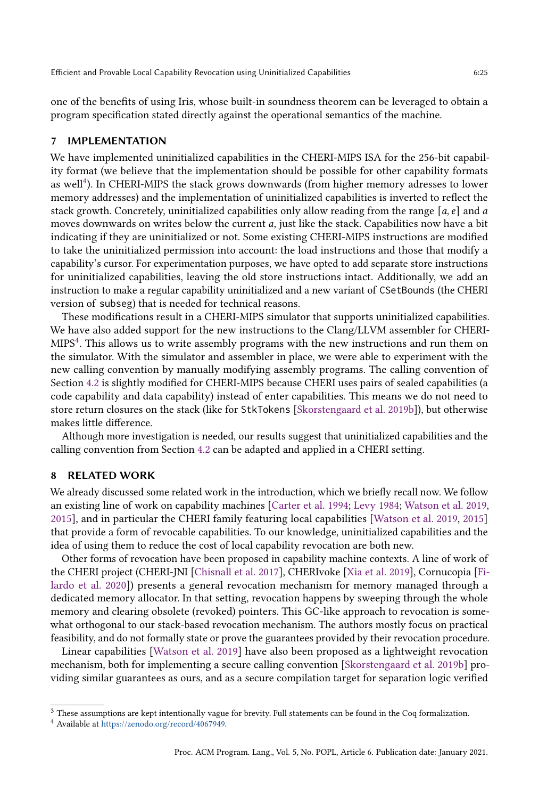one of the benefits of using Iris, whose built-in soundness theorem can be leveraged to obtain a program specification stated directly against the operational semantics of the machine.

#### <span id="page-24-0"></span>**IMPLEMENTATION**

We have implemented uninitialized capabilities in the CHERI-MIPS ISA for the 256-bit capability format (we believe that the implementation should be possible for other capability formats as well<sup>[4](#page-24-2)</sup>). In CHERI-MIPS the stack grows downwards (from higher memory adresses to lower memory addresses) and the implementation of uninitialized capabilities is inverted to reflect the stack growth. Concretely, uninitialized capabilities only allow reading from the range [a, e] and a moves downwards on writes below the current *a*, just like the stack. Capabilities now have a bit indicating if they are uninitialized or not. Some existing CHERI-MIPS instructions are modified to take the uninitialized permission into account: the load instructions and those that modify a capability's cursor. For experimentation purposes, we have opted to add separate store instructions for uninitialized capabilities, leaving the old store instructions intact. Additionally, we add an instruction to make a regular capability uninitialized and a new variant of CSetBounds (the CHERI version of subseg) that is needed for technical reasons.

These modifications result in a CHERI-MIPS simulator that supports uninitialized capabilities. We have also added support for the new instructions to the Clang/LLVM assembler for CHERI- $MIPS<sup>4</sup>$  $MIPS<sup>4</sup>$  $MIPS<sup>4</sup>$ . This allows us to write assembly programs with the new instructions and run them on the simulator. With the simulator and assembler in place, we were able to experiment with the new calling convention by manually modifying assembly programs. The calling convention of Section [4.2](#page-10-0) is slightly modified for CHERI-MIPS because CHERI uses pairs of sealed capabilities (a code capability and data capability) instead of enter capabilities. This means we do not need to store return closures on the stack (like for StkTokens [\[Skorstengaard et al.](#page-28-10) [2019b\]](#page-28-10)), but otherwise makes little difference.

Although more investigation is needed, our results suggest that uninitialized capabilities and the calling convention from Section [4.2](#page-10-0) can be adapted and applied in a CHERI setting.

### 8 RELATED WORK

We already discussed some related work in the introduction, which we briefly recall now. We follow an existing line of work on capability machines [\[Carter et al.](#page-27-8) [1994;](#page-27-8) [Levy](#page-28-0) [1984;](#page-28-0) [Watson et al.](#page-28-1) [2019,](#page-28-1) [2015\]](#page-28-4), and in particular the CHERI family featuring local capabilities [\[Watson et al.](#page-28-1) [2019,](#page-28-1) [2015\]](#page-28-4) that provide a form of revocable capabilities. To our knowledge, uninitialized capabilities and the idea of using them to reduce the cost of local capability revocation are both new.

Other forms of revocation have been proposed in capability machine contexts. A line of work of the CHERI project (CHERI-JNI [\[Chisnall et al.](#page-27-9) [2017\]](#page-27-9), CHERIvoke [\[Xia et al.](#page-29-1) [2019\]](#page-29-1), Cornucopia [\[Fi](#page-27-10)[lardo et al.](#page-27-10) [2020\]](#page-27-10)) presents a general revocation mechanism for memory managed through a dedicated memory allocator. In that setting, revocation happens by sweeping through the whole memory and clearing obsolete (revoked) pointers. This GC-like approach to revocation is somewhat orthogonal to our stack-based revocation mechanism. The authors mostly focus on practical feasibility, and do not formally state or prove the guarantees provided by their revocation procedure.

Linear capabilities [\[Watson et al.](#page-28-1) [2019\]](#page-28-1) have also been proposed as a lightweight revocation mechanism, both for implementing a secure calling convention [\[Skorstengaard et al.](#page-28-10) [2019b\]](#page-28-10) providing similar guarantees as ours, and as a secure compilation target for separation logic verified

<span id="page-24-1"></span> $^3$  These assumptions are kept intentionally vague for brevity. Full statements can be found in the Coq formalization.

<span id="page-24-2"></span><sup>4</sup> Available at [https://zenodo.org/record/4067949.](https://zenodo.org/record/4067949)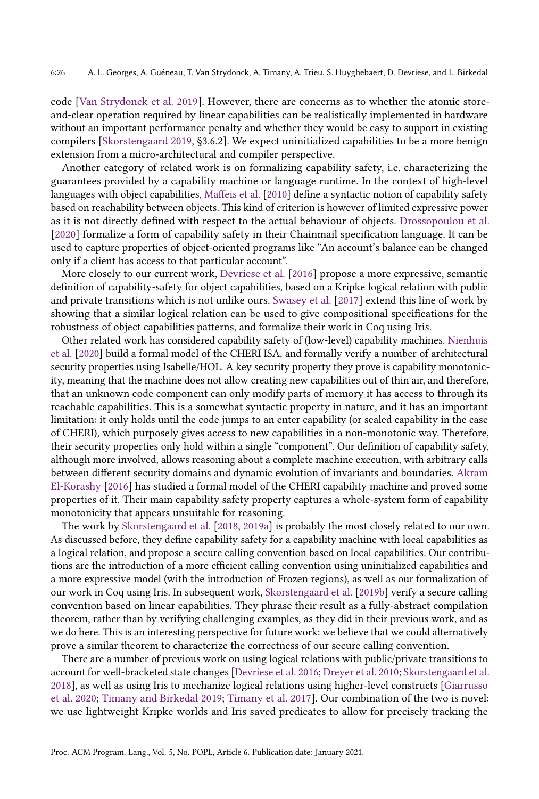code [\[Van Strydonck et al.](#page-28-11) [2019\]](#page-28-11). However, there are concerns as to whether the atomic storeand-clear operation required by linear capabilities can be realistically implemented in hardware without an important performance penalty and whether they would be easy to support in existing compilers [\[Skorstengaard](#page-28-12) [2019,](#page-28-12) §3.6.2]. We expect uninitialized capabilities to be a more benign extension from a micro-architectural and compiler perspective.

Another category of related work is on formalizing capability safety, i.e. characterizing the guarantees provided by a capability machine or language runtime. In the context of high-level languages with object capabilities, [Maffeis et al.](#page-28-13) [\[2010\]](#page-28-13) define a syntactic notion of capability safety based on reachability between objects. This kind of criterion is however of limited expressive power as it is not directly defined with respect to the actual behaviour of objects. [Drossopoulou et al.](#page-27-11) [\[2020\]](#page-27-11) formalize a form of capability safety in their Chainmail specification language. It can be used to capture properties of object-oriented programs like "An account's balance can be changed only if a client has access to that particular account".

More closely to our current work, [Devriese et al.](#page-27-12) [\[2016\]](#page-27-12) propose a more expressive, semantic definition of capability-safety for object capabilities, based on a Kripke logical relation with public and private transitions which is not unlike ours. [Swasey et al.](#page-28-14) [\[2017\]](#page-28-14) extend this line of work by showing that a similar logical relation can be used to give compositional specifications for the robustness of object capabilities patterns, and formalize their work in Coq using Iris.

Other related work has considered capability safety of (low-level) capability machines. [Nienhuis](#page-28-15) [et al.](#page-28-15) [\[2020\]](#page-28-15) build a formal model of the CHERI ISA, and formally verify a number of architectural security properties using Isabelle/HOL. A key security property they prove is capability monotonicity, meaning that the machine does not allow creating new capabilities out of thin air, and therefore, that an unknown code component can only modify parts of memory it has access to through its reachable capabilities. This is a somewhat syntactic property in nature, and it has an important limitation: it only holds until the code jumps to an enter capability (or sealed capability in the case of CHERI), which purposely gives access to new capabilities in a non-monotonic way. Therefore, their security properties only hold within a single "component". Our definition of capability safety, although more involved, allows reasoning about a complete machine execution, with arbitrary calls between different security domains and dynamic evolution of invariants and boundaries. [Akram](#page-26-5) [El-Korashy](#page-26-5) [\[2016\]](#page-26-5) has studied a formal model of the CHERI capability machine and proved some properties of it. Their main capability safety property captures a whole-system form of capability monotonicity that appears unsuitable for reasoning.

The work by [Skorstengaard et al.](#page-28-5) [\[2018,](#page-28-5) [2019a\]](#page-28-8) is probably the most closely related to our own. As discussed before, they define capability safety for a capability machine with local capabilities as a logical relation, and propose a secure calling convention based on local capabilities. Our contributions are the introduction of a more efficient calling convention using uninitialized capabilities and a more expressive model (with the introduction of Frozen regions), as well as our formalization of our work in Coq using Iris. In subsequent work, [Skorstengaard et al.](#page-28-10) [\[2019b\]](#page-28-10) verify a secure calling convention based on linear capabilities. They phrase their result as a fully-abstract compilation theorem, rather than by verifying challenging examples, as they did in their previous work, and as we do here. This is an interesting perspective for future work: we believe that we could alternatively prove a similar theorem to characterize the correctness of our secure calling convention.

There are a number of previous work on using logical relations with public/private transitions to account for well-bracketed state changes [\[Devriese et al.](#page-27-12) [2016;](#page-27-12) [Dreyer et al.](#page-27-6) [2010;](#page-27-6) [Skorstengaard et al.](#page-28-5) [2018\]](#page-28-5), as well as using Iris to mechanize logical relations using higher-level constructs [\[Giarrusso](#page-27-13) [et al.](#page-27-13) [2020;](#page-27-13) [Timany and Birkedal](#page-28-16) [2019;](#page-28-16) [Timany et al.](#page-28-17) [2017\]](#page-28-17). Our combination of the two is novel: we use lightweight Kripke worlds and Iris saved predicates to allow for precisely tracking the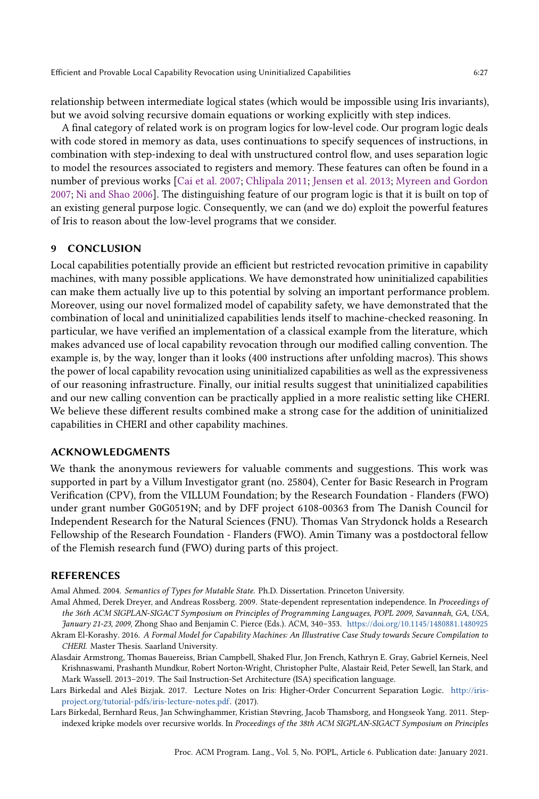relationship between intermediate logical states (which would be impossible using Iris invariants), but we avoid solving recursive domain equations or working explicitly with step indices.

A final category of related work is on program logics for low-level code. Our program logic deals with code stored in memory as data, uses continuations to specify sequences of instructions, in combination with step-indexing to deal with unstructured control flow, and uses separation logic to model the resources associated to registers and memory. These features can often be found in a number of previous works [\[Cai et al.](#page-27-14) [2007;](#page-27-14) [Chlipala](#page-27-15) [2011;](#page-27-15) [Jensen et al.](#page-27-16) [2013;](#page-27-16) [Myreen and Gordon](#page-28-18) [2007;](#page-28-18) [Ni and Shao](#page-28-19) [2006\]](#page-28-19). The distinguishing feature of our program logic is that it is built on top of an existing general purpose logic. Consequently, we can (and we do) exploit the powerful features of Iris to reason about the low-level programs that we consider.

# 9 CONCLUSION

Local capabilities potentially provide an efficient but restricted revocation primitive in capability machines, with many possible applications. We have demonstrated how uninitialized capabilities can make them actually live up to this potential by solving an important performance problem. Moreover, using our novel formalized model of capability safety, we have demonstrated that the combination of local and uninitialized capabilities lends itself to machine-checked reasoning. In particular, we have verified an implementation of a classical example from the literature, which makes advanced use of local capability revocation through our modified calling convention. The example is, by the way, longer than it looks (400 instructions after unfolding macros). This shows the power of local capability revocation using uninitialized capabilities as well as the expressiveness of our reasoning infrastructure. Finally, our initial results suggest that uninitialized capabilities and our new calling convention can be practically applied in a more realistic setting like CHERI. We believe these different results combined make a strong case for the addition of uninitialized capabilities in CHERI and other capability machines.

# ACKNOWLEDGMENTS

We thank the anonymous reviewers for valuable comments and suggestions. This work was supported in part by a Villum Investigator grant (no. 25804), Center for Basic Research in Program Verification (CPV), from the VILLUM Foundation; by the Research Foundation - Flanders (FWO) under grant number G0G0519N; and by DFF project 6108-00363 from The Danish Council for Independent Research for the Natural Sciences (FNU). Thomas Van Strydonck holds a Research Fellowship of the Research Foundation - Flanders (FWO). Amin Timany was a postdoctoral fellow of the Flemish research fund (FWO) during parts of this project.

#### REFERENCES

<span id="page-26-2"></span>Amal Ahmed. 2004. Semantics of Types for Mutable State. Ph.D. Dissertation. Princeton University.

- <span id="page-26-4"></span>Amal Ahmed, Derek Dreyer, and Andreas Rossberg. 2009. State-dependent representation independence. In Proceedings of the 36th ACM SIGPLAN-SIGACT Symposium on Principles of Programming Languages, POPL 2009, Savannah, GA, USA, January 21-23, 2009, Zhong Shao and Benjamin C. Pierce (Eds.). ACM, 340–353. <https://doi.org/10.1145/1480881.1480925>
- <span id="page-26-5"></span>Akram El-Korashy. 2016. A Formal Model for Capability Machines: An Illustrative Case Study towards Secure Compilation to CHERI. Master Thesis. Saarland University.
- <span id="page-26-0"></span>Alasdair Armstrong, Thomas Bauereiss, Brian Campbell, Shaked Flur, Jon French, Kathryn E. Gray, Gabriel Kerneis, Neel Krishnaswami, Prashanth Mundkur, Robert Norton-Wright, Christopher Pulte, Alastair Reid, Peter Sewell, Ian Stark, and Mark Wassell. 2013–2019. The Sail Instruction-Set Architecture (ISA) specification language.
- <span id="page-26-1"></span>Lars Birkedal and Aleš Bizjak. 2017. Lecture Notes on Iris: Higher-Order Concurrent Separation Logic. [http://iris](http://iris-project.org/tutorial-pdfs/iris-lecture-notes.pdf)[project.org/tutorial-pdfs/iris-lecture-notes.pdf.](http://iris-project.org/tutorial-pdfs/iris-lecture-notes.pdf) (2017).
- <span id="page-26-3"></span>Lars Birkedal, Bernhard Reus, Jan Schwinghammer, Kristian Støvring, Jacob Thamsborg, and Hongseok Yang. 2011. Stepindexed kripke models over recursive worlds. In Proceedings of the 38th ACM SIGPLAN-SIGACT Symposium on Principles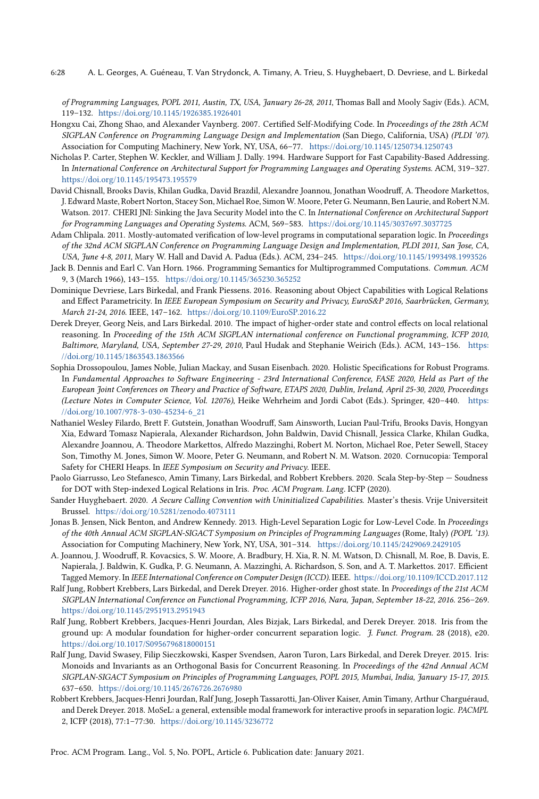6:28 A. L. Georges, A. Guéneau, T. Van Strydonck, A. Timany, A. Trieu, S. Huyghebaert, D. Devriese, and L. Birkedal

of Programming Languages, POPL 2011, Austin, TX, USA, January 26-28, 2011, Thomas Ball and Mooly Sagiv (Eds.). ACM, 119–132. <https://doi.org/10.1145/1926385.1926401>

- <span id="page-27-14"></span>Hongxu Cai, Zhong Shao, and Alexander Vaynberg. 2007. Certified Self-Modifying Code. In Proceedings of the 28th ACM SIGPLAN Conference on Programming Language Design and Implementation (San Diego, California, USA) (PLDI '07). Association for Computing Machinery, New York, NY, USA, 66–77. <https://doi.org/10.1145/1250734.1250743>
- <span id="page-27-8"></span>Nicholas P. Carter, Stephen W. Keckler, and William J. Dally. 1994. Hardware Support for Fast Capability-Based Addressing. In International Conference on Architectural Support for Programming Languages and Operating Systems. ACM, 319–327. <https://doi.org/10.1145/195473.195579>
- <span id="page-27-9"></span>David Chisnall, Brooks Davis, Khilan Gudka, David Brazdil, Alexandre Joannou, Jonathan Woodruff, A. Theodore Markettos, J. Edward Maste, Robert Norton, Stacey Son, Michael Roe, Simon W. Moore, Peter G. Neumann, Ben Laurie, and Robert N.M. Watson. 2017. CHERI JNI: Sinking the Java Security Model into the C. In International Conference on Architectural Support for Programming Languages and Operating Systems. ACM, 569–583. <https://doi.org/10.1145/3037697.3037725>
- <span id="page-27-15"></span>Adam Chlipala. 2011. Mostly-automated verification of low-level programs in computational separation logic. In Proceedings of the 32nd ACM SIGPLAN Conference on Programming Language Design and Implementation, PLDI 2011, San Jose, CA, USA, June 4-8, 2011, Mary W. Hall and David A. Padua (Eds.). ACM, 234–245. <https://doi.org/10.1145/1993498.1993526>
- <span id="page-27-0"></span>Jack B. Dennis and Earl C. Van Horn. 1966. Programming Semantics for Multiprogrammed Computations. Commun. ACM 9, 3 (March 1966), 143–155. <https://doi.org/10.1145/365230.365252>
- <span id="page-27-12"></span>Dominique Devriese, Lars Birkedal, and Frank Piessens. 2016. Reasoning about Object Capabilities with Logical Relations and Effect Parametricity. In IEEE European Symposium on Security and Privacy, EuroS&P 2016, Saarbrücken, Germany, March 21-24, 2016. IEEE, 147–162. <https://doi.org/10.1109/EuroSP.2016.22>
- <span id="page-27-6"></span>Derek Dreyer, Georg Neis, and Lars Birkedal. 2010. The impact of higher-order state and control effects on local relational reasoning. In Proceeding of the 15th ACM SIGPLAN international conference on Functional programming, ICFP 2010, Baltimore, Maryland, USA, September 27-29, 2010, Paul Hudak and Stephanie Weirich (Eds.). ACM, 143–156. [https:](https://doi.org/10.1145/1863543.1863566) [//doi.org/10.1145/1863543.1863566](https://doi.org/10.1145/1863543.1863566)
- <span id="page-27-11"></span>Sophia Drossopoulou, James Noble, Julian Mackay, and Susan Eisenbach. 2020. Holistic Specifications for Robust Programs. In Fundamental Approaches to Software Engineering - 23rd International Conference, FASE 2020, Held as Part of the European Joint Conferences on Theory and Practice of Software, ETAPS 2020, Dublin, Ireland, April 25-30, 2020, Proceedings (Lecture Notes in Computer Science, Vol. 12076), Heike Wehrheim and Jordi Cabot (Eds.). Springer, 420–440. [https:](https://doi.org/10.1007/978-3-030-45234-6_21) [//doi.org/10.1007/978-3-030-45234-6\\_21](https://doi.org/10.1007/978-3-030-45234-6_21)
- <span id="page-27-10"></span>Nathaniel Wesley Filardo, Brett F. Gutstein, Jonathan Woodruff, Sam Ainsworth, Lucian Paul-Trifu, Brooks Davis, Hongyan Xia, Edward Tomasz Napierala, Alexander Richardson, John Baldwin, David Chisnall, Jessica Clarke, Khilan Gudka, Alexandre Joannou, A. Theodore Markettos, Alfredo Mazzinghi, Robert M. Norton, Michael Roe, Peter Sewell, Stacey Son, Timothy M. Jones, Simon W. Moore, Peter G. Neumann, and Robert N. M. Watson. 2020. Cornucopia: Temporal Safety for CHERI Heaps. In IEEE Symposium on Security and Privacy. IEEE.
- <span id="page-27-13"></span>Paolo Giarrusso, Leo Stefanesco, Amin Timany, Lars Birkedal, and Robbert Krebbers. 2020. Scala Step-by-Step — Soudness for DOT with Step-indexed Logical Relations in Iris. Proc. ACM Program. Lang. ICFP (2020).
- <span id="page-27-7"></span>Sander Huyghebaert. 2020. A Secure Calling Convention with Uninitialized Capabilities. Master's thesis. Vrije Universiteit Brussel. <https://doi.org/10.5281/zenodo.4073111>
- <span id="page-27-16"></span>Jonas B. Jensen, Nick Benton, and Andrew Kennedy. 2013. High-Level Separation Logic for Low-Level Code. In Proceedings of the 40th Annual ACM SIGPLAN-SIGACT Symposium on Principles of Programming Languages (Rome, Italy) (POPL '13). Association for Computing Machinery, New York, NY, USA, 301–314. <https://doi.org/10.1145/2429069.2429105>
- <span id="page-27-1"></span>A. Joannou, J. Woodruff, R. Kovacsics, S. W. Moore, A. Bradbury, H. Xia, R. N. M. Watson, D. Chisnall, M. Roe, B. Davis, E. Napierala, J. Baldwin, K. Gudka, P. G. Neumann, A. Mazzinghi, A. Richardson, S. Son, and A. T. Markettos. 2017. Efficient Tagged Memory. In IEEE International Conference on Computer Design (ICCD). IEEE. <https://doi.org/10.1109/ICCD.2017.112>
- <span id="page-27-2"></span>Ralf Jung, Robbert Krebbers, Lars Birkedal, and Derek Dreyer. 2016. Higher-order ghost state. In Proceedings of the 21st ACM SIGPLAN International Conference on Functional Programming, ICFP 2016, Nara, Japan, September 18-22, 2016. 256–269. <https://doi.org/10.1145/2951913.2951943>
- <span id="page-27-3"></span>Ralf Jung, Robbert Krebbers, Jacques-Henri Jourdan, Ales Bizjak, Lars Birkedal, and Derek Dreyer. 2018. Iris from the ground up: A modular foundation for higher-order concurrent separation logic. J. Funct. Program. 28 (2018), e20. <https://doi.org/10.1017/S0956796818000151>
- <span id="page-27-4"></span>Ralf Jung, David Swasey, Filip Sieczkowski, Kasper Svendsen, Aaron Turon, Lars Birkedal, and Derek Dreyer. 2015. Iris: Monoids and Invariants as an Orthogonal Basis for Concurrent Reasoning. In Proceedings of the 42nd Annual ACM SIGPLAN-SIGACT Symposium on Principles of Programming Languages, POPL 2015, Mumbai, India, January 15-17, 2015. 637–650. <https://doi.org/10.1145/2676726.2676980>
- <span id="page-27-5"></span>Robbert Krebbers, Jacques-Henri Jourdan, Ralf Jung, Joseph Tassarotti, Jan-Oliver Kaiser, Amin Timany, Arthur Charguéraud, and Derek Dreyer. 2018. MoSeL: a general, extensible modal framework for interactive proofs in separation logic. PACMPL 2, ICFP (2018), 77:1–77:30. <https://doi.org/10.1145/3236772>

Proc. ACM Program. Lang., Vol. 5, No. POPL, Article 6. Publication date: January 2021.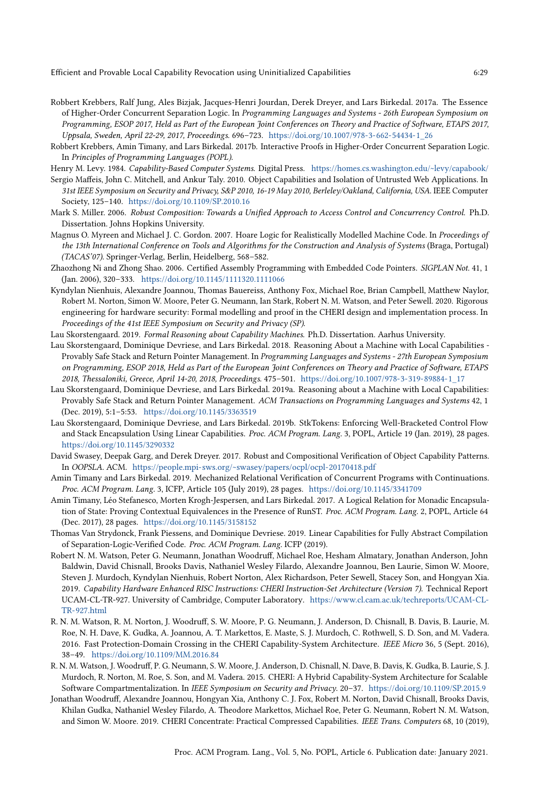- 
- <span id="page-28-6"></span>Robbert Krebbers, Ralf Jung, Ales Bizjak, Jacques-Henri Jourdan, Derek Dreyer, and Lars Birkedal. 2017a. The Essence of Higher-Order Concurrent Separation Logic. In Programming Languages and Systems - 26th European Symposium on Programming, ESOP 2017, Held as Part of the European Joint Conferences on Theory and Practice of Software, ETAPS 2017, Uppsala, Sweden, April 22-29, 2017, Proceedings. 696–723. [https://doi.org/10.1007/978-3-662-54434-1\\_26](https://doi.org/10.1007/978-3-662-54434-1_26)
- <span id="page-28-7"></span>Robbert Krebbers, Amin Timany, and Lars Birkedal. 2017b. Interactive Proofs in Higher-Order Concurrent Separation Logic. In Principles of Programming Languages (POPL).
- <span id="page-28-0"></span>Henry M. Levy. 1984. Capability-Based Computer Systems. Digital Press. <https://homes.cs.washington.edu/~levy/capabook/>
- <span id="page-28-13"></span>Sergio Maffeis, John C. Mitchell, and Ankur Taly. 2010. Object Capabilities and Isolation of Untrusted Web Applications. In 31st IEEE Symposium on Security and Privacy, S&P 2010, 16-19 May 2010, Berleley/Oakland, California, USA. IEEE Computer Society, 125–140. <https://doi.org/10.1109/SP.2010.16>
- <span id="page-28-2"></span>Mark S. Miller. 2006. Robust Composition: Towards a Unified Approach to Access Control and Concurrency Control. Ph.D. Dissertation. Johns Hopkins University.
- <span id="page-28-18"></span>Magnus O. Myreen and Michael J. C. Gordon. 2007. Hoare Logic for Realistically Modelled Machine Code. In Proceedings of the 13th International Conference on Tools and Algorithms for the Construction and Analysis of Systems (Braga, Portugal) (TACAS'07). Springer-Verlag, Berlin, Heidelberg, 568–582.
- <span id="page-28-19"></span>Zhaozhong Ni and Zhong Shao. 2006. Certified Assembly Programming with Embedded Code Pointers. SIGPLAN Not. 41, 1 (Jan. 2006), 320–333. <https://doi.org/10.1145/1111320.1111066>
- <span id="page-28-15"></span>Kyndylan Nienhuis, Alexandre Joannou, Thomas Bauereiss, Anthony Fox, Michael Roe, Brian Campbell, Matthew Naylor, Robert M. Norton, Simon W. Moore, Peter G. Neumann, Ian Stark, Robert N. M. Watson, and Peter Sewell. 2020. Rigorous engineering for hardware security: Formal modelling and proof in the CHERI design and implementation process. In Proceedings of the 41st IEEE Symposium on Security and Privacy (SP).
- <span id="page-28-12"></span>Lau Skorstengaard. 2019. Formal Reasoning about Capability Machines. Ph.D. Dissertation. Aarhus University.
- <span id="page-28-5"></span>Lau Skorstengaard, Dominique Devriese, and Lars Birkedal. 2018. Reasoning About a Machine with Local Capabilities - Provably Safe Stack and Return Pointer Management. In Programming Languages and Systems - 27th European Symposium on Programming, ESOP 2018, Held as Part of the European Joint Conferences on Theory and Practice of Software, ETAPS 2018, Thessaloniki, Greece, April 14-20, 2018, Proceedings. 475–501. [https://doi.org/10.1007/978-3-319-89884-1\\_17](https://doi.org/10.1007/978-3-319-89884-1_17)
- <span id="page-28-8"></span>Lau Skorstengaard, Dominique Devriese, and Lars Birkedal. 2019a. Reasoning about a Machine with Local Capabilities: Provably Safe Stack and Return Pointer Management. ACM Transactions on Programming Languages and Systems 42, 1 (Dec. 2019), 5:1–5:53. <https://doi.org/10.1145/3363519>
- <span id="page-28-10"></span>Lau Skorstengaard, Dominique Devriese, and Lars Birkedal. 2019b. StkTokens: Enforcing Well-Bracketed Control Flow and Stack Encapsulation Using Linear Capabilities. Proc. ACM Program. Lang. 3, POPL, Article 19 (Jan. 2019), 28 pages. <https://doi.org/10.1145/3290332>
- <span id="page-28-14"></span>David Swasey, Deepak Garg, and Derek Dreyer. 2017. Robust and Compositional Verification of Object Capability Patterns. In OOPSLA. ACM. <https://people.mpi-sws.org/~swasey/papers/ocpl/ocpl-20170418.pdf>
- <span id="page-28-16"></span>Amin Timany and Lars Birkedal. 2019. Mechanized Relational Verification of Concurrent Programs with Continuations. Proc. ACM Program. Lang. 3, ICFP, Article 105 (July 2019), 28 pages. <https://doi.org/10.1145/3341709>
- <span id="page-28-17"></span>Amin Timany, Léo Stefanesco, Morten Krogh-Jespersen, and Lars Birkedal. 2017. A Logical Relation for Monadic Encapsulation of State: Proving Contextual Equivalences in the Presence of RunST. Proc. ACM Program. Lang. 2, POPL, Article 64 (Dec. 2017), 28 pages. <https://doi.org/10.1145/3158152>
- <span id="page-28-11"></span>Thomas Van Strydonck, Frank Piessens, and Dominique Devriese. 2019. Linear Capabilities for Fully Abstract Compilation of Separation-Logic-Verified Code. Proc. ACM Program. Lang. ICFP (2019).
- <span id="page-28-1"></span>Robert N. M. Watson, Peter G. Neumann, Jonathan Woodruff, Michael Roe, Hesham Almatary, Jonathan Anderson, John Baldwin, David Chisnall, Brooks Davis, Nathaniel Wesley Filardo, Alexandre Joannou, Ben Laurie, Simon W. Moore, Steven J. Murdoch, Kyndylan Nienhuis, Robert Norton, Alex Richardson, Peter Sewell, Stacey Son, and Hongyan Xia. 2019. Capability Hardware Enhanced RISC Instructions: CHERI Instruction-Set Architecture (Version 7). Technical Report UCAM-CL-TR-927. University of Cambridge, Computer Laboratory. [https://www.cl.cam.ac.uk/techreports/UCAM-CL-](https://www.cl.cam.ac.uk/techreports/UCAM-CL-TR-927.html)[TR-927.html](https://www.cl.cam.ac.uk/techreports/UCAM-CL-TR-927.html)
- <span id="page-28-3"></span>R. N. M. Watson, R. M. Norton, J. Woodruff, S. W. Moore, P. G. Neumann, J. Anderson, D. Chisnall, B. Davis, B. Laurie, M. Roe, N. H. Dave, K. Gudka, A. Joannou, A. T. Markettos, E. Maste, S. J. Murdoch, C. Rothwell, S. D. Son, and M. Vadera. 2016. Fast Protection-Domain Crossing in the CHERI Capability-System Architecture. IEEE Micro 36, 5 (Sept. 2016), 38–49. <https://doi.org/10.1109/MM.2016.84>
- <span id="page-28-4"></span>R. N. M. Watson, J. Woodruff, P. G. Neumann, S. W. Moore, J. Anderson, D. Chisnall, N. Dave, B. Davis, K. Gudka, B. Laurie, S. J. Murdoch, R. Norton, M. Roe, S. Son, and M. Vadera. 2015. CHERI: A Hybrid Capability-System Architecture for Scalable Software Compartmentalization. In IEEE Symposium on Security and Privacy. 20–37. <https://doi.org/10.1109/SP.2015.9>
- <span id="page-28-9"></span>Jonathan Woodruff, Alexandre Joannou, Hongyan Xia, Anthony C. J. Fox, Robert M. Norton, David Chisnall, Brooks Davis, Khilan Gudka, Nathaniel Wesley Filardo, A. Theodore Markettos, Michael Roe, Peter G. Neumann, Robert N. M. Watson, and Simon W. Moore. 2019. CHERI Concentrate: Practical Compressed Capabilities. IEEE Trans. Computers 68, 10 (2019),